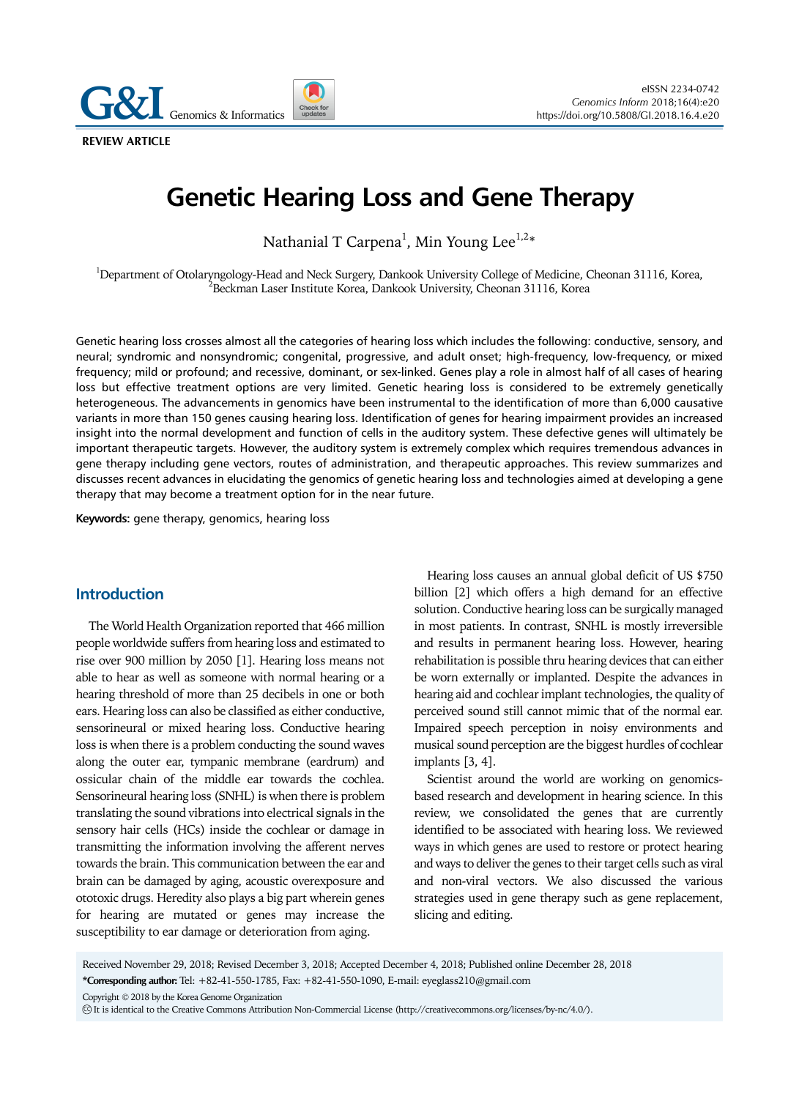**Genomics & Informatics** 

**REVIEW ARTICLE** 

# **Genetic Hearing Loss and Gene Therapy**

Nathanial T Carpena $^{\rm l}$ , Min Young Lee $^{\rm l,2*}$ 

<sup>1</sup>Department of Otolaryngology-Head and Neck Surgery, Dankook University College of Medicine, Cheonan 31116, Korea, <sup>2</sup>Pealman Leega Institute Korea, Dankook University Cheonan 31116, Korea,  $^{\prime}$ Beckman Laser Institute Korea, Dankook University, Cheonan 31116, Korea

Genetic hearing loss crosses almost all the categories of hearing loss which includes the following: conductive, sensory, and neural; syndromic and nonsyndromic; congenital, progressive, and adult onset; high-frequency, low-frequency, or mixed frequency; mild or profound; and recessive, dominant, or sex-linked. Genes play a role in almost half of all cases of hearing loss but effective treatment options are very limited. Genetic hearing loss is considered to be extremely genetically heterogeneous. The advancements in genomics have been instrumental to the identification of more than 6,000 causative variants in more than 150 genes causing hearing loss. Identification of genes for hearing impairment provides an increased insight into the normal development and function of cells in the auditory system. These defective genes will ultimately be important therapeutic targets. However, the auditory system is extremely complex which requires tremendous advances in gene therapy including gene vectors, routes of administration, and therapeutic approaches. This review summarizes and discusses recent advances in elucidating the genomics of genetic hearing loss and technologies aimed at developing a gene therapy that may become a treatment option for in the near future.

**Keywords:** gene therapy, genomics, hearing loss

## **Introduction**

The World Health Organization reported that 466 million people worldwide suffers from hearing loss and estimated to rise over 900 million by 2050 [1]. Hearing loss means not able to hear as well as someone with normal hearing or a hearing threshold of more than 25 decibels in one or both ears. Hearing loss can also be classified as either conductive, sensorineural or mixed hearing loss. Conductive hearing loss is when there is a problem conducting the sound waves along the outer ear, tympanic membrane (eardrum) and ossicular chain of the middle ear towards the cochlea. Sensorineural hearing loss (SNHL) is when there is problem translating the sound vibrations into electrical signals in the sensory hair cells (HCs) inside the cochlear or damage in transmitting the information involving the afferent nerves towards the brain. This communication between the ear and brain can be damaged by aging, acoustic overexposure and ototoxic drugs. Heredity also plays a big part wherein genes for hearing are mutated or genes may increase the susceptibility to ear damage or deterioration from aging.

Hearing loss causes an annual global deficit of US \$750 billion [2] which offers a high demand for an effective solution. Conductive hearing loss can be surgically managed in most patients. In contrast, SNHL is mostly irreversible and results in permanent hearing loss. However, hearing rehabilitation is possible thru hearing devices that can either be worn externally or implanted. Despite the advances in hearing aid and cochlear implant technologies, the quality of perceived sound still cannot mimic that of the normal ear. Impaired speech perception in noisy environments and musical sound perception are the biggest hurdles of cochlear implants [3, 4].

Scientist around the world are working on genomicsbased research and development in hearing science. In this review, we consolidated the genes that are currently identified to be associated with hearing loss. We reviewed ways in which genes are used to restore or protect hearing and ways to deliver the genes to their target cells such as viral and non-viral vectors. We also discussed the various strategies used in gene therapy such as gene replacement, slicing and editing.

Received November 29, 2018; Revised December 3, 2018; Accepted December 4, 2018; Published online December 28, 2018

**\*Corresponding author:** Tel: +82-41-550-1785, Fax: +82-41-550-1090, E-mail: eyeglass210@gmail.com

Copyright © 2018 by the Korea Genome Organization

CC It is identical to the Creative Commons Attribution Non-Commercial License (http://creativecommons.org/licenses/by-nc/4.0/).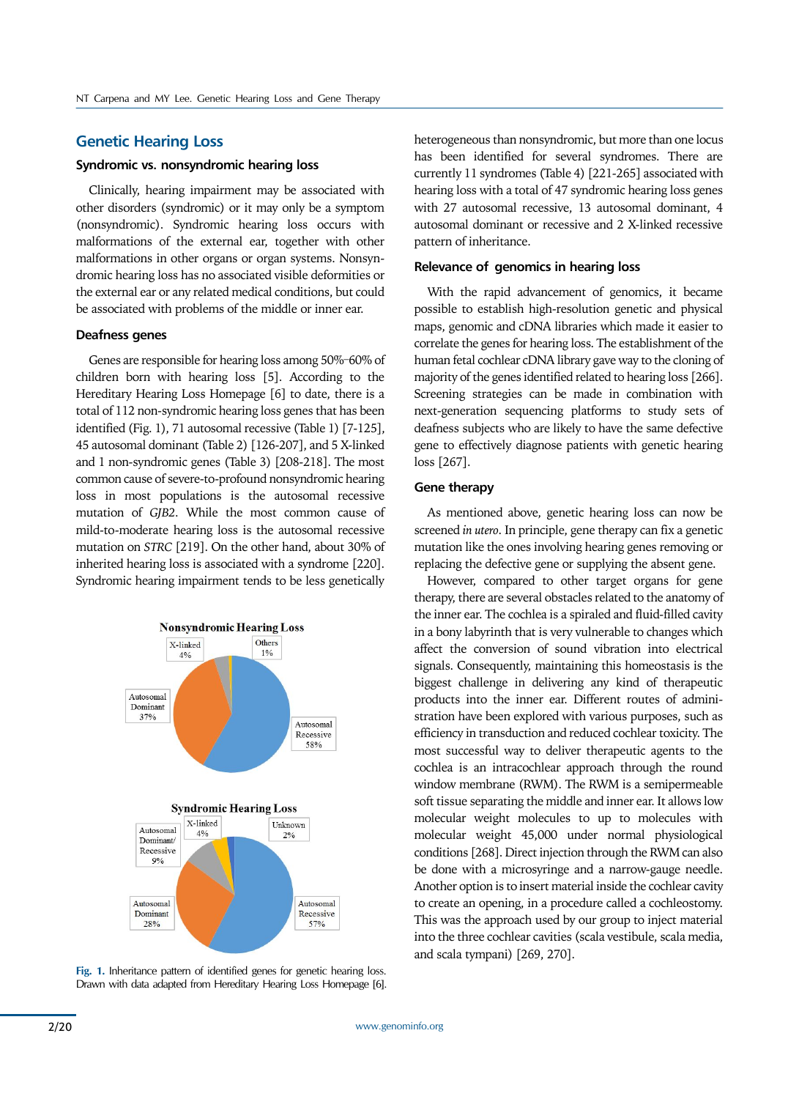## **Genetic Hearing Loss**

### **Syndromic vs. nonsyndromic hearing loss**

Clinically, hearing impairment may be associated with other disorders (syndromic) or it may only be a symptom (nonsyndromic). Syndromic hearing loss occurs with malformations of the external ear, together with other malformations in other organs or organ systems. Nonsyndromic hearing loss has no associated visible deformities or the external ear or any related medical conditions, but could be associated with problems of the middle or inner ear.

### **Deafness genes**

Genes are responsible for hearing loss among 50%–60% of children born with hearing loss [5]. According to the Hereditary Hearing Loss Homepage [6] to date, there is a total of 112 non-syndromic hearing loss genes that has been identified (Fig. 1), 71 autosomal recessive (Table 1) [7-125], 45 autosomal dominant (Table 2) [126-207], and 5 X-linked and 1 non-syndromic genes (Table 3) [208-218]. The most common cause of severe-to-profound nonsyndromic hearing loss in most populations is the autosomal recessive mutation of *GJB2*. While the most common cause of mild-to-moderate hearing loss is the autosomal recessive mutation on *STRC* [219]. On the other hand, about 30% of inherited hearing loss is associated with a syndrome [220]. Syndromic hearing impairment tends to be less genetically



**Fig. 1.** Inheritance pattern of identified genes for genetic hearing loss. Drawn with data adapted from Hereditary Hearing Loss Homepage [6]. heterogeneous than nonsyndromic, but more than one locus has been identified for several syndromes. There are currently 11 syndromes (Table 4) [221-265] associated with hearing loss with a total of 47 syndromic hearing loss genes with 27 autosomal recessive, 13 autosomal dominant, 4 autosomal dominant or recessive and 2 X-linked recessive pattern of inheritance.

#### **Relevance of genomics in hearing loss**

With the rapid advancement of genomics, it became possible to establish high-resolution genetic and physical maps, genomic and cDNA libraries which made it easier to correlate the genes for hearing loss. The establishment of the human fetal cochlear cDNA library gave way to the cloning of majority of the genes identified related to hearing loss [266]. Screening strategies can be made in combination with next-generation sequencing platforms to study sets of deafness subjects who are likely to have the same defective gene to effectively diagnose patients with genetic hearing loss [267].

#### **Gene therapy**

As mentioned above, genetic hearing loss can now be screened *in utero*. In principle, gene therapy can fix a genetic mutation like the ones involving hearing genes removing or replacing the defective gene or supplying the absent gene.

However, compared to other target organs for gene therapy, there are several obstacles related to the anatomy of the inner ear. The cochlea is a spiraled and fluid-filled cavity in a bony labyrinth that is very vulnerable to changes which affect the conversion of sound vibration into electrical signals. Consequently, maintaining this homeostasis is the biggest challenge in delivering any kind of therapeutic products into the inner ear. Different routes of administration have been explored with various purposes, such as efficiency in transduction and reduced cochlear toxicity. The most successful way to deliver therapeutic agents to the cochlea is an intracochlear approach through the round window membrane (RWM). The RWM is a semipermeable soft tissue separating the middle and inner ear. It allows low molecular weight molecules to up to molecules with molecular weight 45,000 under normal physiological conditions [268]. Direct injection through the RWM can also be done with a microsyringe and a narrow-gauge needle. Another option is to insert material inside the cochlear cavity to create an opening, in a procedure called a cochleostomy. This was the approach used by our group to inject material into the three cochlear cavities (scala vestibule, scala media, and scala tympani) [269, 270].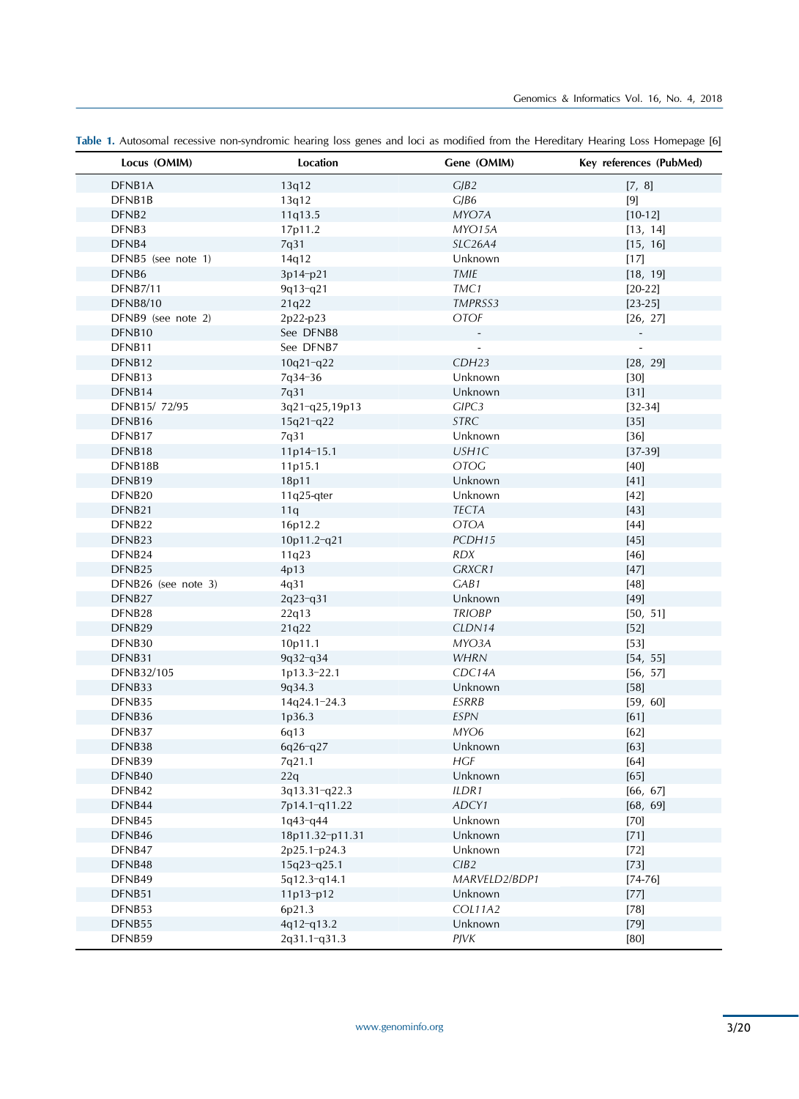| Locus (OMIM)        | Location        | Gene (OMIM)    | Key references (PubMed)      |
|---------------------|-----------------|----------------|------------------------------|
| DFNB1A              | 13q12           | CJB2           | [7, 8]                       |
| DFNB1B              | 13q12           | CJB6           | $[9]$                        |
| DFNB <sub>2</sub>   | 11q13.5         | MYO7A          | $[10-12]$                    |
| DFNB3               | 17p11.2         | MYO15A         | [13, 14]                     |
| DFNB4               | 7q31            | SLC26A4        | [15, 16]                     |
| DFNB5 (see note 1)  | 14q12           | Unknown        | $[17]$                       |
| DFNB6               | 3p14-p21        | TMIE           | [18, 19]                     |
| <b>DFNB7/11</b>     | 9q13-q21        | TMC1           | $[20-22]$                    |
| <b>DFNB8/10</b>     | 21q22           | TMPRSS3        | $[23-25]$                    |
| DFNB9 (see note 2)  | 2p22-p23        | <b>OTOF</b>    | [26, 27]                     |
| DFNB10              | See DFNB8       |                | $\qquad \qquad \blacksquare$ |
| DFNB11              | See DFNB7       |                |                              |
| DFNB12              | $10q21-q22$     | CDH23          | [28, 29]                     |
| DFNB13              | 7q34-36         | Unknown        | $[30]$                       |
| DFNB14              | 7q31            | Unknown        | $[31]$                       |
| DFNB15/ 72/95       | 3q21-q25,19p13  | GIPC3          | $[32-34]$                    |
| DFNB16              | $15q21-q22$     | STRC           | $[35]$                       |
| DFNB17              | 7q31            | Unknown        | $[36]$                       |
| DFNB18              | 11p14-15.1      | USH1C          | $[37-39]$                    |
| DFNB18B             | 11p15.1         | <b>OTOG</b>    | $[40]$                       |
| DFNB19              | 18p11           | Unknown        | $[41]$                       |
| DFNB20              | $11q25$ -qter   | Unknown        | $[42]$                       |
| DFNB21              | 11q             | <b>TECTA</b>   | $[43]$                       |
| DFNB22              | 16p12.2         | <b>OTOA</b>    | $[44]$                       |
| DFNB23              | 10p11.2-q21     | PCDH15         | $[45]$                       |
| DFNB24              | 11q23           | <b>RDX</b>     | $[46]$                       |
| DFNB25              | 4p13            | GRXCR1         | $[47]$                       |
| DFNB26 (see note 3) | 4q31            | GAB1           | $[48]$                       |
| DFNB27              | 2q23-q31        | Unknown        | $[49]$                       |
| DFNB28              | 22q13           | <b>TRIOBP</b>  | [50, 51]                     |
| DFNB29              | 21q22           | CLDN14         | $[52]$                       |
| DFNB30              | 10p11.1         | MYO3A          | $[53]$                       |
| DFNB31              | 9q32-q34        | <b>WHRN</b>    | [54, 55]                     |
| DFNB32/105          | 1p13.3-22.1     | CDC14A         | [56, 57]                     |
| DFNB33              | 9q34.3          | Unknown        | $[58]$                       |
| DFNB35              | 14q24.1-24.3    | ESRRB          | [59, 60]                     |
| DFNB36              | 1p36.3          | <b>ESPN</b>    | $[61]$                       |
| DFNB37              | 6q13            | MYO6           | $[62]$                       |
| DFNB38              | 6q26-q27        | Unknown        | $[63]$                       |
| DFNB39              | 7q21.1          | HGF            | $[64]$                       |
| DFNB40              | 22q             | Unknown        | $[65]$                       |
| DFNB42              | 3q13.31-q22.3   | ILDR1          | [66, 67]                     |
| DFNB44              | 7p14.1-q11.22   | ADCY1          | [68, 69]                     |
| DFNB45              | 1q43-q44        | Unknown        | $[70]$                       |
| DFNB46              | 18p11.32-p11.31 | Unknown        | $[71]$                       |
| DFNB47              | 2p25.1-p24.3    | Unknown        | $[72]$                       |
| DFNB48              | 15q23-q25.1     | CIB2           | $[73]$                       |
| DFNB49              | 5q12.3-q14.1    | MARVELD2/BDP1  | $[74 - 76]$                  |
| DFNB51              | 11p13-p12       | Unknown        | $[77]$                       |
| DFNB53              | 6p21.3          | <b>COL11A2</b> | $[78]$                       |
| DFNB55              | 4q12-q13.2      | Unknown        | $[79]$                       |
| DFNB59              | 2q31.1-q31.3    | <b>PJVK</b>    | [80]                         |

**Table 1.** Autosomal recessive non-syndromic hearing loss genes and loci as modified from the Hereditary Hearing Loss Homepage [6]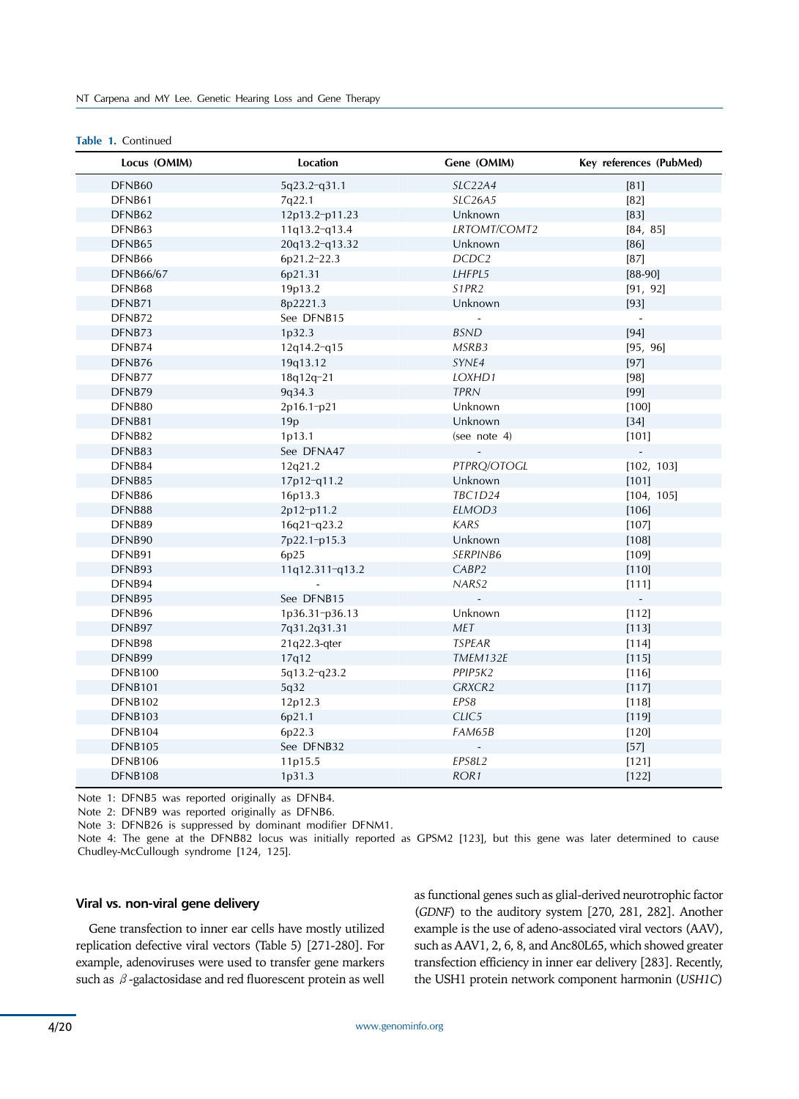## **Table 1.** Continued

| Locus (OMIM)     | Location        | Gene (OMIM)                    | Key references (PubMed) |
|------------------|-----------------|--------------------------------|-------------------------|
| DFNB60           | 5q23.2-q31.1    | SLC22A4                        | $[81]$                  |
| DFNB61           | 7q22.1          | SLC26A5                        | $[82]$                  |
| DFNB62           | 12p13.2-p11.23  | Unknown                        | $[83]$                  |
| DFNB63           | 11q13.2-q13.4   | LRTOMT/COMT2                   | [84, 85]                |
| DFNB65           | 20q13.2-q13.32  | Unknown                        | $[86]$                  |
| DFNB66           | 6p21.2-22.3     | DCDC <sub>2</sub>              | $[87]$                  |
| <b>DFNB66/67</b> | 6p21.31         | LHFPL5                         | $[88-90]$               |
| DFNB68           | 19p13.2         | S <sub>1</sub> PR <sub>2</sub> | [91, 92]                |
| DFNB71           | 8p2221.3        | Unknown                        | $[93]$                  |
| DFNB72           | See DFNB15      | $\sim$                         | $\sim$                  |
| DFNB73           | 1p32.3          | <b>BSND</b>                    | $[94]$                  |
| DFNB74           | 12q14.2-q15     | MSRB3                          | [95, 96]                |
| DFNB76           | 19q13.12        | SYNE4                          | $[97]$                  |
| DFNB77           | 18q12q-21       | LOXHD1                         | $[98]$                  |
| DFNB79           | 9q34.3          | <b>TPRN</b>                    | $[99]$                  |
| DFNB80           | 2p16.1-p21      | Unknown                        | $[100]$                 |
| DFNB81           | 19p             | Unknown                        | $[34]$                  |
| DFNB82           | 1p13.1          | (see note 4)                   | $[101]$                 |
| DFNB83           | See DFNA47      |                                |                         |
| DFNB84           | 12q21.2         | PTPRQ/OTOGL                    | [102, 103]              |
| DFNB85           | 17p12-q11.2     | Unknown                        | $[101]$                 |
| DFNB86           | 16p13.3         | <b>TBC1D24</b>                 | [104, 105]              |
| DFNB88           | 2p12-p11.2      | ELMOD3                         | $[106]$                 |
| DFNB89           | 16q21-q23.2     | <b>KARS</b>                    | $[107]$                 |
| DFNB90           | 7p22.1-p15.3    | Unknown                        | $[108]$                 |
| DFNB91           | 6p25            | SERPINB6                       | $[109]$                 |
| DFNB93           | 11q12.311-q13.2 | CABP2                          | $[110]$                 |
| DFNB94           |                 | NARS2                          | $[111]$                 |
| DFNB95           | See DFNB15      | $\blacksquare$                 | $\omega$                |
| DFNB96           | 1p36.31-p36.13  | Unknown                        | $[112]$                 |
| DFNB97           | 7q31.2q31.31    | MET                            | [113]                   |
| DFNB98           | 21q22.3-qter    | <b>TSPEAR</b>                  | $[114]$                 |
| DFNB99           | 17q12           | TMEM132E                       | $[115]$                 |
| DFNB100          | 5q13.2-q23.2    | PPIP5K2                        | $[116]$                 |
| <b>DFNB101</b>   | 5q32            | GRXCR2                         | [117]                   |
| DFNB102          | 12p12.3         | EPS8                           | $[118]$                 |
| DFNB103          | 6p21.1          | CLIC5                          | [119]                   |
| DFNB104          | 6p22.3          | FAM65B                         | $[120]$                 |
| DFNB105          | See DFNB32      | $\overline{a}$                 | $[57]$                  |
| DFNB106          | 11p15.5         | EPS8L2                         | $[121]$                 |
| DFNB108          | 1p31.3          | ROR <sub>1</sub>               | $[122]$                 |

Note 1: DFNB5 was reported originally as DFNB4.

Note 2: DFNB9 was reported originally as DFNB6.

Note 3: DFNB26 is suppressed by dominant modifier DFNM1.

Note 4: The gene at the DFNB82 locus was initially reported as GPSM2 [123], but this gene was later determined to cause Chudley-McCullough syndrome [124, 125].

## **Viral vs. non-viral gene delivery**

Gene transfection to inner ear cells have mostly utilized replication defective viral vectors (Table 5) [271-280]. For example, adenoviruses were used to transfer gene markers such as  $\beta$ -galactosidase and red fluorescent protein as well as functional genes such as glial-derived neurotrophic factor (*GDNF*) to the auditory system [270, 281, 282]. Another example is the use of adeno-associated viral vectors (AAV), such as AAV1, 2, 6, 8, and Anc80L65, which showed greater transfection efficiency in inner ear delivery [283]. Recently, the USH1 protein network component harmonin (*USH1C*)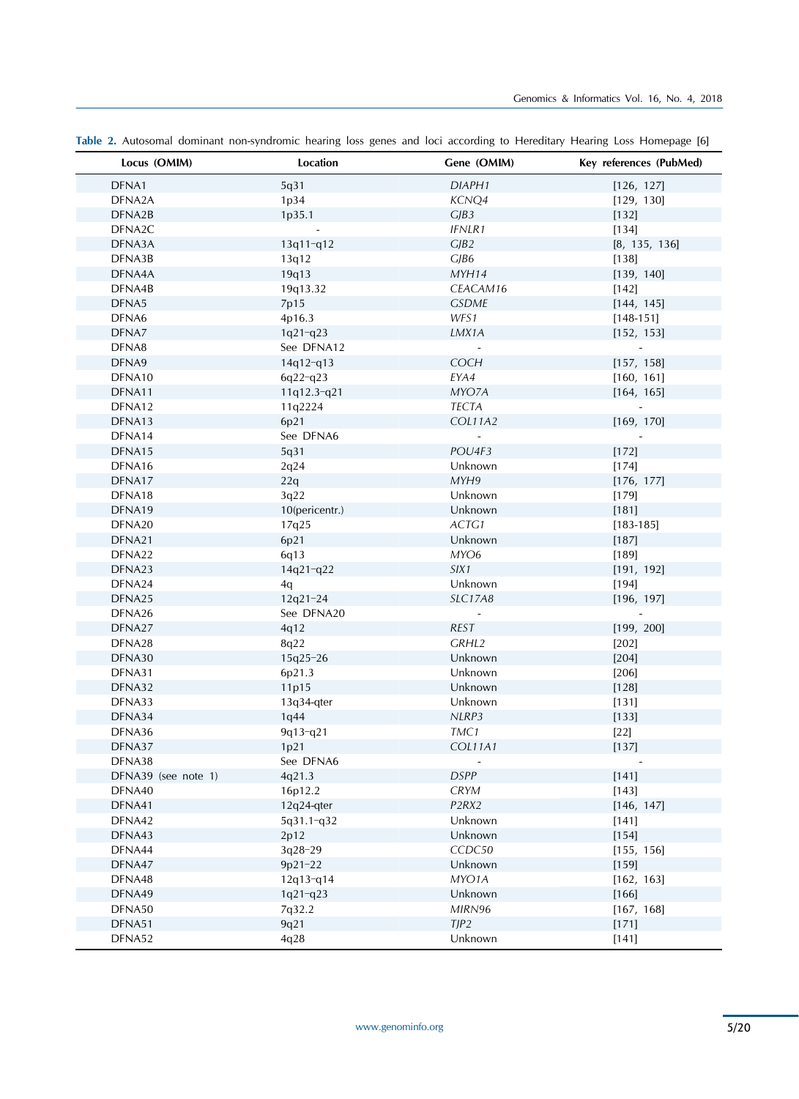| Locus (OMIM)        | Location       | Gene (OMIM)                    | Key references (PubMed)  |
|---------------------|----------------|--------------------------------|--------------------------|
| DFNA1               | 5q31           | DIAPH1                         | [126, 127]               |
| DFNA2A              | 1p34           | KCNQ4                          | [129, 130]               |
| DFNA2B              | 1p35.1         | CJB3                           | $[132]$                  |
| DFNA2C              |                | <b>IFNLR1</b>                  | [134]                    |
| DFNA3A              | 13q11-q12      | CJB2                           | [8, 135, 136]            |
| DFNA3B              | 13q12          | CJB6                           | $[138]$                  |
| DFNA4A              | 19q13          | MYH14                          | [139, 140]               |
| DFNA4B              | 19q13.32       | CEACAM16                       | $[142]$                  |
| DFNA5               | 7p15           | <b>GSDME</b>                   | [144, 145]               |
| DFNA6               | 4p16.3         | WFS1                           | $[148 - 151]$            |
| DFNA7               | $1q21-q23$     | LMX1A                          | [152, 153]               |
| DFNA8               | See DFNA12     |                                | $\overline{\phantom{a}}$ |
| DFNA9               | $14q12-q13$    | COCH                           | [157, 158]               |
| DFNA10              | $6q22-q23$     | EYA4                           | [160, 161]               |
| DFNA11              | 11q12.3-q21    | MYO7A                          | [164, 165]               |
| DFNA12              | 11q2224        | TECTA                          | $\overline{\phantom{a}}$ |
| DFNA13              | 6p21           | COL11A2                        | [169, 170]               |
| DFNA14              | See DFNA6      | $\frac{1}{2}$                  |                          |
| DFNA15              | 5q31           | POU4F3                         | $[172]$                  |
| DFNA16              | 2q24           | Unknown                        | $[174]$                  |
| DFNA17              | 22q            | MYH9                           | [176, 177]               |
| DFNA18              | 3q22           | Unknown                        | $[179]$                  |
| DFNA19              | 10(pericentr.) | Unknown                        | $[181]$                  |
| DFNA20              | 17q25          | ACTG1                          | $[183 - 185]$            |
| DFNA21              | 6p21           | Unknown                        | $[187]$                  |
| DFNA22              | 6q13           | MYO6                           | $[189]$                  |
| DFNA23              | 14q21-q22      | SIX1                           | [191, 192]               |
| DFNA24              | 4q             | Unknown                        | $[194]$                  |
| DFNA25              | $12q21 - 24$   | <b>SLC17A8</b>                 | [196, 197]               |
| DFNA26              | See DFNA20     | $\overline{\phantom{a}}$       |                          |
| DFNA27              | 4q12           | REST                           | [199, 200]               |
| DFNA28              | 8q22           | GRHL2                          | $[202]$                  |
| DFNA30              | 15q25-26       | Unknown                        | [204]                    |
| DFNA31              | 6p21.3         | Unknown                        | [206]                    |
| DFNA32              | 11p15          | Unknown                        | $[128]$                  |
| DFNA33              | 13q34-qter     | Unknown                        | [131]                    |
| DFNA34              | 1q44           | NLRP3                          | [133]                    |
| DFNA36              | 9q13-q21       | TMC1                           | $[22]$                   |
| DFNA37              | 1p21           | COL11A1                        | [137]                    |
| DFNA38              | See DFNA6      |                                |                          |
| DFNA39 (see note 1) | 4q21.3         | <b>DSPP</b>                    | $[141]$                  |
| DFNA40              | 16p12.2        | <b>CRYM</b>                    | $[143]$                  |
| DFNA41              | 12q24-qter     | P <sub>2</sub> RX <sub>2</sub> | [146, 147]               |
| DFNA42              | 5q31.1-q32     | Unknown                        | [141]                    |
| DFNA43              | 2p12           | Unknown                        | $[154]$                  |
| DFNA44              | 3q28-29        | CCDC50                         | [155, 156]               |
| DFNA47              | 9p21-22        | Unknown                        | $[159]$                  |
| DFNA48              | $12q13-q14$    | MYO1A                          | [162, 163]               |
| DFNA49              | $1q21-q23$     | Unknown                        | $[166]$                  |
| DFNA50              | 7q32.2         | MIRN96                         | [167, 168]               |
| DFNA51              | 9q21           | TIP2                           | [171]                    |
| DFNA52              | 4q28           | Unknown                        | $[141]$                  |

**Table 2.** Autosomal dominant non-syndromic hearing loss genes and loci according to Hereditary Hearing Loss Homepage [6]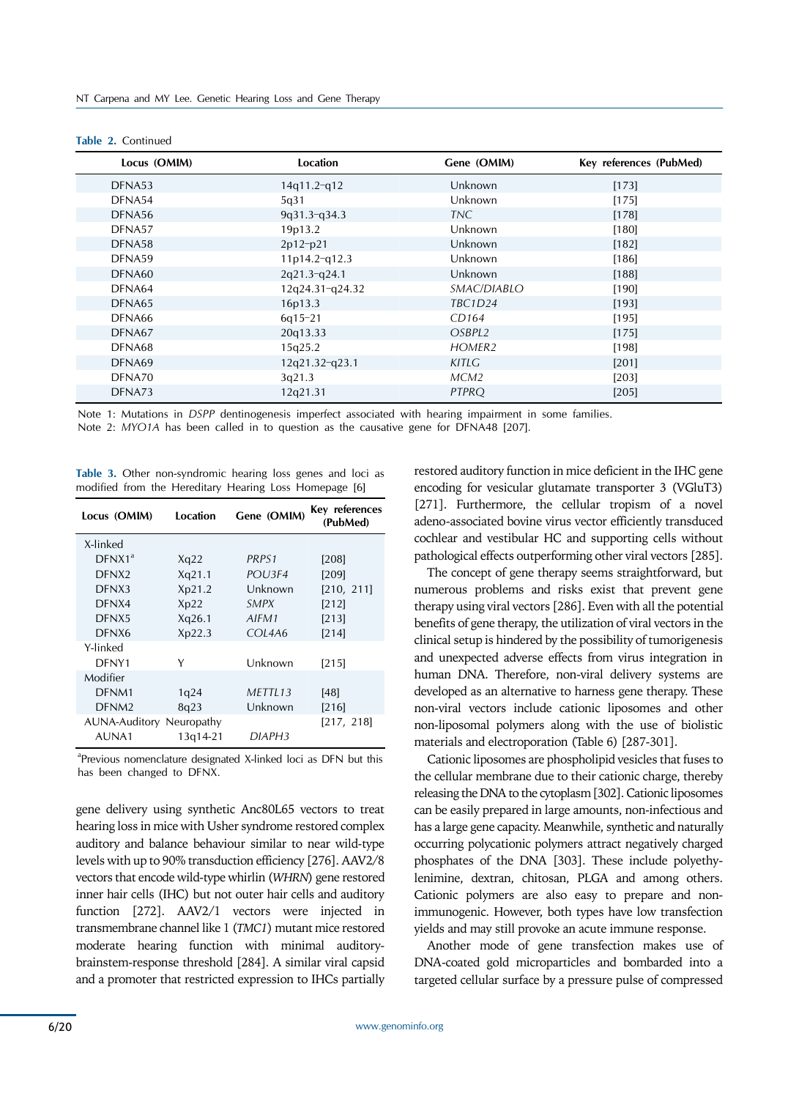| Locus (OMIM) | Location         | Gene (OMIM)        | Key references (PubMed) |
|--------------|------------------|--------------------|-------------------------|
| DFNA53       | $14q11.2-q12$    | Unknown            | [173]                   |
| DFNA54       | 5q31             | Unknown            | [175]                   |
| DFNA56       | $9q31.3-q34.3$   | TNC.               | [178]                   |
| DFNA57       | 19p13.2          | Unknown            | [180]                   |
| DFNA58       | $2p12-p21$       | Unknown            | [182]                   |
| DFNA59       | 11p14.2-q12.3    | Unknown            | [186]                   |
| DFNA60       | 2q21.3-q24.1     | Unknown            | [188]                   |
| DFNA64       | 12q24.31-q24.32  | SMAC/DIABLO        | $[190]$                 |
| DFNA65       | 16p13.3          | <b>TBC1D24</b>     | [193]                   |
| DFNA66       | $6q15-21$        | CD164              | [195]                   |
| DFNA67       | 20q13.33         | OSBPL2             | [175]                   |
| DFNA68       | 15q25.2          | HOMER <sub>2</sub> | [198]                   |
| DFNA69       | $12q21.32-q23.1$ | KITLG              | $[201]$                 |
| DFNA70       | 3q21.3           | MCM2               | $[203]$                 |
| DFNA73       | 12q21.31         | <b>PTPRO</b>       | $[205]$                 |

|  |  |  |  | Table 2. Continued |
|--|--|--|--|--------------------|
|--|--|--|--|--------------------|

Note 1: Mutations in *DSPP* dentinogenesis imperfect associated with hearing impairment in some families.

Note 2: *MYO1A* has been called in to question as the causative gene for DFNA48 [207].

**Table 3.** Other non-syndromic hearing loss genes and loci as modified from the Hereditary Hearing Loss Homepage [6]

| Locus (OMIM)                    | Location | Gene (OMIM) | Key references<br>(PubMed) |
|---------------------------------|----------|-------------|----------------------------|
| X-linked                        |          |             |                            |
| DFNX1 <sup>a</sup>              | Xq22     | PRPS1       | [208]                      |
| DFNX <sub>2</sub>               | Xq21.1   | POU3F4      | [209]                      |
| DFNX3                           | Xp21.2   | Unknown     | [210, 211]                 |
| DFNX4                           | Xp22     | SMPX        | [212]                      |
| DFNX5                           | Xq26.1   | AIFM1       | [213]                      |
| DFNX6                           | Xp22.3   | COL4A6      | [214]                      |
| Y-linked                        |          |             |                            |
| DFNY1                           | Υ        | Unknown     | [215]                      |
| Modifier                        |          |             |                            |
| DFNM1                           | 1q24     | METTL13     | [48]                       |
| DFNM <sub>2</sub>               | 8q23     | Unknown     | [216]                      |
| <b>AUNA-Auditory Neuropathy</b> |          |             | [217, 218]                 |
| AUNA1                           | 13g14-21 | DIAPH3      |                            |

<sup>a</sup>Previous nomenclature designated X-linked loci as DFN but this has been changed to DFNX.

gene delivery using synthetic Anc80L65 vectors to treat hearing loss in mice with Usher syndrome restored complex auditory and balance behaviour similar to near wild-type levels with up to 90% transduction efficiency [276]. AAV2/8 vectors that encode wild-type whirlin (*WHRN*) gene restored inner hair cells (IHC) but not outer hair cells and auditory function [272]. AAV2/1 vectors were injected in transmembrane channel like 1 (*TMC1*) mutant mice restored moderate hearing function with minimal auditorybrainstem-response threshold [284]. A similar viral capsid and a promoter that restricted expression to IHCs partially

restored auditory function in mice deficient in the IHC gene encoding for vesicular glutamate transporter 3 (VGluT3) [271]. Furthermore, the cellular tropism of a novel adeno-associated bovine virus vector efficiently transduced cochlear and vestibular HC and supporting cells without pathological effects outperforming other viral vectors [285].

The concept of gene therapy seems straightforward, but numerous problems and risks exist that prevent gene therapy using viral vectors [286]. Even with all the potential benefits of gene therapy, the utilization of viral vectors in the clinical setup is hindered by the possibility of tumorigenesis and unexpected adverse effects from virus integration in human DNA. Therefore, non-viral delivery systems are developed as an alternative to harness gene therapy. These non-viral vectors include cationic liposomes and other non-liposomal polymers along with the use of biolistic materials and electroporation (Table 6) [287-301].

Cationic liposomes are phospholipid vesicles that fuses to the cellular membrane due to their cationic charge, thereby releasing the DNA to the cytoplasm [302]. Cationic liposomes can be easily prepared in large amounts, non-infectious and has a large gene capacity. Meanwhile, synthetic and naturally occurring polycationic polymers attract negatively charged phosphates of the DNA [303]. These include polyethylenimine, dextran, chitosan, PLGA and among others. Cationic polymers are also easy to prepare and nonimmunogenic. However, both types have low transfection yields and may still provoke an acute immune response.

Another mode of gene transfection makes use of DNA-coated gold microparticles and bombarded into a targeted cellular surface by a pressure pulse of compressed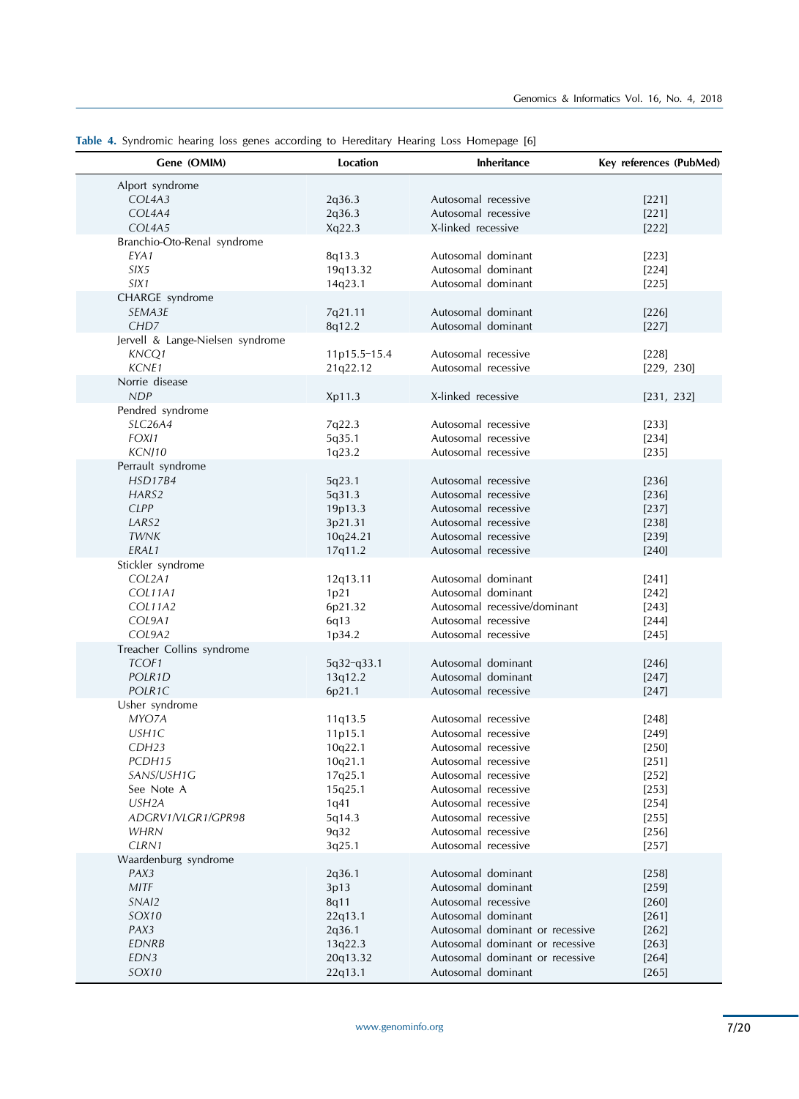| Gene (OMIM)                                                                                                                                                     | Location                                                                                           | <b>Inheritance</b>                                                                                                                                                                                                                 | Key references (PubMed)                                                                                    |
|-----------------------------------------------------------------------------------------------------------------------------------------------------------------|----------------------------------------------------------------------------------------------------|------------------------------------------------------------------------------------------------------------------------------------------------------------------------------------------------------------------------------------|------------------------------------------------------------------------------------------------------------|
| Alport syndrome<br>COL4A3<br>COL4A4<br>COL4A5                                                                                                                   | 2q36.3<br>2q36.3<br>Xq22.3                                                                         | Autosomal recessive<br>Autosomal recessive<br>X-linked recessive                                                                                                                                                                   | [221]<br>$[221]$<br>$[222]$                                                                                |
| Branchio-Oto-Renal syndrome<br>EYA1<br>SIX <sub>5</sub><br>SIX1                                                                                                 | 8q13.3<br>19q13.32<br>14q23.1                                                                      | Autosomal dominant<br>Autosomal dominant<br>Autosomal dominant                                                                                                                                                                     | $[223]$<br>$[224]$<br>$[225]$                                                                              |
| CHARGE syndrome<br>SEMA3E<br>CHD <sub>7</sub>                                                                                                                   | 7q21.11<br>8q12.2                                                                                  | Autosomal dominant<br>Autosomal dominant                                                                                                                                                                                           | $[226]$<br>[227]                                                                                           |
| Jervell & Lange-Nielsen syndrome<br>KNCQ1<br>KCNE1                                                                                                              | 11p15.5-15.4<br>21q22.12                                                                           | Autosomal recessive<br>Autosomal recessive                                                                                                                                                                                         | $[228]$<br>[229, 230]                                                                                      |
| Norrie disease<br>NDP<br>Pendred syndrome                                                                                                                       | Xp11.3                                                                                             | X-linked recessive                                                                                                                                                                                                                 | [231, 232]                                                                                                 |
| SLC26A4<br>FOX11<br>KCNJ10                                                                                                                                      | 7q22.3<br>5q35.1<br>1q23.2                                                                         | Autosomal recessive<br>Autosomal recessive<br>Autosomal recessive                                                                                                                                                                  | $[233]$<br>[234]<br>[235]                                                                                  |
| Perrault syndrome<br><b>HSD17B4</b><br>HARS2<br><b>CLPP</b><br>LARS <sub>2</sub><br><b>TWNK</b><br>ERAL1                                                        | 5q23.1<br>5q31.3<br>19p13.3<br>3p21.31<br>10q24.21<br>17q11.2                                      | Autosomal recessive<br>Autosomal recessive<br>Autosomal recessive<br>Autosomal recessive<br>Autosomal recessive<br>Autosomal recessive                                                                                             | [236]<br>[236]<br>$[237]$<br>$[238]$<br>[239]<br>$[240]$                                                   |
| Stickler syndrome<br>COL2A1<br>COL11A1<br><b>COL11A2</b><br>COL9A1<br>COL9A2                                                                                    | 12q13.11<br>1p21<br>6p21.32<br>6q13<br>1p34.2                                                      | Autosomal dominant<br>Autosomal dominant<br>Autosomal recessive/dominant<br>Autosomal recessive<br>Autosomal recessive                                                                                                             | [241]<br>$[242]$<br>$[243]$<br>$[244]$<br>$[245]$                                                          |
| Treacher Collins syndrome<br>TCOF1<br>POLR1D<br>POLR1C                                                                                                          | 5q32-q33.1<br>13q12.2<br>6p21.1                                                                    | Autosomal dominant<br>Autosomal dominant<br>Autosomal recessive                                                                                                                                                                    | [246]<br>[247]<br>[247]                                                                                    |
| Usher syndrome<br>MYO7A<br>USH1C<br>CDH <sub>23</sub><br>PCDH15<br>SANS/USH1G<br>See Note A<br>USH <sub>2</sub> A<br>ADGRV1/VLGR1/GPR98<br><b>WHRN</b><br>CLRN1 | 11q13.5<br>11p15.1<br>10q22.1<br>10q21.1<br>17q25.1<br>15q25.1<br>1q41<br>5q14.3<br>9q32<br>3q25.1 | Autosomal recessive<br>Autosomal recessive<br>Autosomal recessive<br>Autosomal recessive<br>Autosomal recessive<br>Autosomal recessive<br>Autosomal recessive<br>Autosomal recessive<br>Autosomal recessive<br>Autosomal recessive | $[248]$<br>$[249]$<br>$[250]$<br>$[251]$<br>$[252]$<br>$[253]$<br>$[254]$<br>$[255]$<br>$[256]$<br>$[257]$ |
| Waardenburg syndrome<br>PAX3<br><b>MITF</b><br>SNAI2<br>SOX10<br>PAX3<br><b>EDNRB</b><br>EDN3<br>SOX10                                                          | 2q36.1<br>3p13<br>8q11<br>22q13.1<br>2q36.1<br>13q22.3<br>20q13.32<br>22q13.1                      | Autosomal dominant<br>Autosomal dominant<br>Autosomal recessive<br>Autosomal dominant<br>Autosomal dominant or recessive<br>Autosomal dominant or recessive<br>Autosomal dominant or recessive<br>Autosomal dominant               | $[258]$<br>$[259]$<br>$[260]$<br>[261]<br>$[262]$<br>[263]<br>[264]<br>[265]                               |

**Table 4.** Syndromic hearing loss genes according to Hereditary Hearing Loss Homepage [6]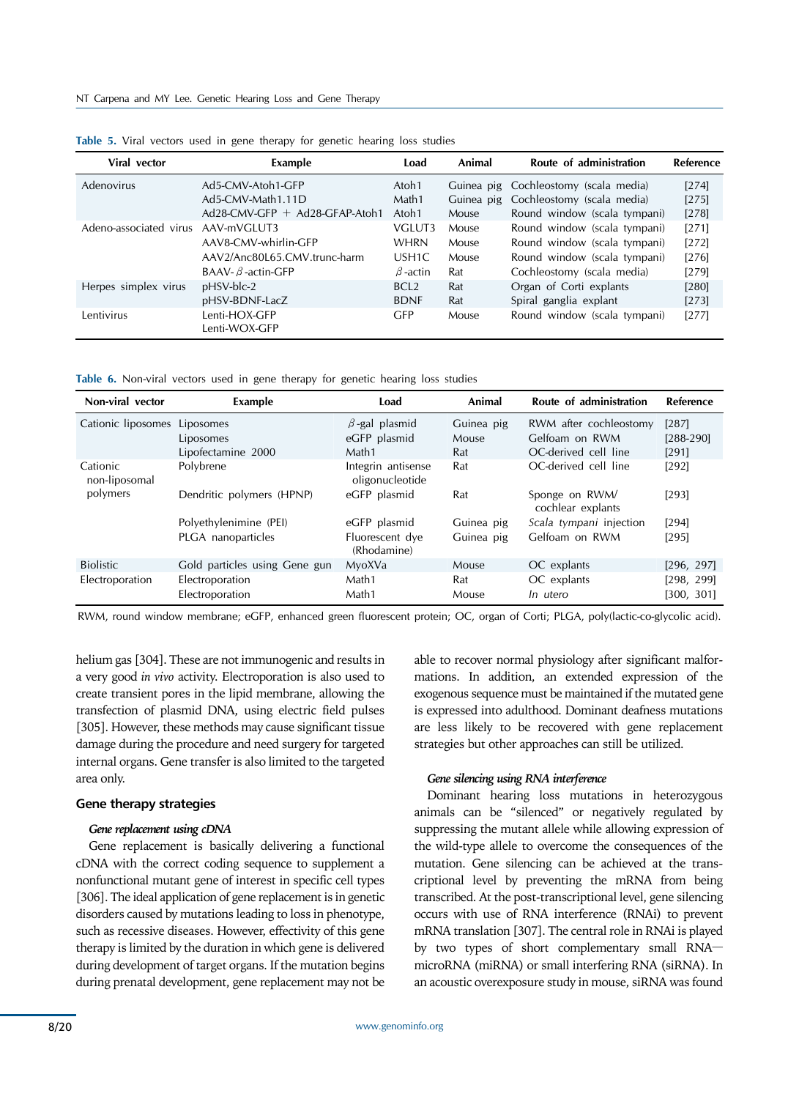| Viral vector           | Example                          | Load              | Animal     | Route of administration      | Reference |
|------------------------|----------------------------------|-------------------|------------|------------------------------|-----------|
| Adenovirus             | Ad5-CMV-Atoh1-GFP                | Atoh1             | Guinea pig | Cochleostomy (scala media)   | $[274]$   |
|                        | Ad5-CMV-Math1.11D                | Math1             | Guinea pig | Cochleostomy (scala media)   | $[275]$   |
|                        | $Ad28-CMV-GFP + Ad28-GFAP-Atoh1$ | Atoh1             | Mouse      | Round window (scala tympani) | $[278]$   |
| Adeno-associated virus | AAV-mVGLUT3                      | VGLUT3            | Mouse      | Round window (scala tympani) | [271]     |
|                        | AAV8-CMV-whirlin-GFP             | <b>WHRN</b>       | Mouse      | Round window (scala tympani) | $[272]$   |
|                        | AAV2/Anc80L65.CMV.trunc-harm     | USH <sub>1C</sub> | Mouse      | Round window (scala tympani) | $[276]$   |
|                        | BAAV- $\beta$ -actin-GFP         | $\beta$ -actin    | Rat        | Cochleostomy (scala media)   | $[279]$   |
| Herpes simplex virus   | pHSV-blc-2                       | BCL <sub>2</sub>  | Rat        | Organ of Corti explants      | [280]     |
|                        | pHSV-BDNF-LacZ                   | <b>BDNF</b>       | Rat        | Spiral ganglia explant       | [273]     |
| Lentivirus             | Lenti-HOX-GFP<br>Lenti-WOX-GFP   | <b>GFP</b>        | Mouse      | Round window (scala tympani) | $[277]$   |

| Table 5. Viral vectors used in gene therapy for genetic hearing loss studies |  |  |  |  |  |  |  |  |  |  |  |
|------------------------------------------------------------------------------|--|--|--|--|--|--|--|--|--|--|--|
|------------------------------------------------------------------------------|--|--|--|--|--|--|--|--|--|--|--|

**Table 6.** Non-viral vectors used in gene therapy for genetic hearing loss studies

| Non-viral vector             | Example                       | Load                                  | Animal     | Route of administration             | Reference   |
|------------------------------|-------------------------------|---------------------------------------|------------|-------------------------------------|-------------|
| Cationic liposomes Liposomes |                               | $\beta$ -gal plasmid                  | Guinea pig | RWM after cochleostomy              | $[287]$     |
|                              | Liposomes                     | eGFP plasmid                          | Mouse      | Gelfoam on RWM                      | $[288-290]$ |
|                              | Lipofectamine 2000            | Math1                                 | Rat        | OC-derived cell line                | [291]       |
| Cationic<br>non-liposomal    | Polybrene                     | Integrin antisense<br>oligonucleotide | Rat        | OC-derived cell line                | [292]       |
| polymers                     | Dendritic polymers (HPNP)     | eGFP plasmid                          | Rat        | Sponge on RWM/<br>cochlear explants | $[293]$     |
|                              | Polyethylenimine (PEI)        | eGFP plasmid                          | Guinea pig | Scala tympani injection             | $[294]$     |
|                              | PLGA nanoparticles            | Fluorescent dye<br>(Rhodamine)        | Guinea pig | Gelfoam on RWM                      | [295]       |
| <b>Biolistic</b>             | Gold particles using Gene gun | MyoXVa                                | Mouse      | OC explants                         | [296, 297]  |
| Electroporation              | Electroporation               | Math1                                 | Rat        | OC explants                         | [298, 299]  |
|                              | Electroporation               | Math1                                 | Mouse      | In utero                            | [300, 301]  |

RWM, round window membrane; eGFP, enhanced green fluorescent protein; OC, organ of Corti; PLGA, poly(lactic-co-glycolic acid).

helium gas [304]. These are not immunogenic and results in a very good *in vivo* activity. Electroporation is also used to create transient pores in the lipid membrane, allowing the transfection of plasmid DNA, using electric field pulses [305]. However, these methods may cause significant tissue damage during the procedure and need surgery for targeted internal organs. Gene transfer is also limited to the targeted area only.

## **Gene therapy strategies**

#### *Gene replacement using cDNA*

Gene replacement is basically delivering a functional cDNA with the correct coding sequence to supplement a nonfunctional mutant gene of interest in specific cell types [306]. The ideal application of gene replacement is in genetic disorders caused by mutations leading to loss in phenotype, such as recessive diseases. However, effectivity of this gene therapy is limited by the duration in which gene is delivered during development of target organs. If the mutation begins during prenatal development, gene replacement may not be

able to recover normal physiology after significant malformations. In addition, an extended expression of the exogenous sequence must be maintained if the mutated gene is expressed into adulthood. Dominant deafness mutations are less likely to be recovered with gene replacement strategies but other approaches can still be utilized.

#### *Gene silencing using RNA interference*

Dominant hearing loss mutations in heterozygous animals can be "silenced" or negatively regulated by suppressing the mutant allele while allowing expression of the wild-type allele to overcome the consequences of the mutation. Gene silencing can be achieved at the transcriptional level by preventing the mRNA from being transcribed. At the post-transcriptional level, gene silencing occurs with use of RNA interference (RNAi) to prevent mRNA translation [307]. The central role in RNAi is played by two types of short complementary small RNA microRNA (miRNA) or small interfering RNA (siRNA). In an acoustic overexposure study in mouse, siRNA was found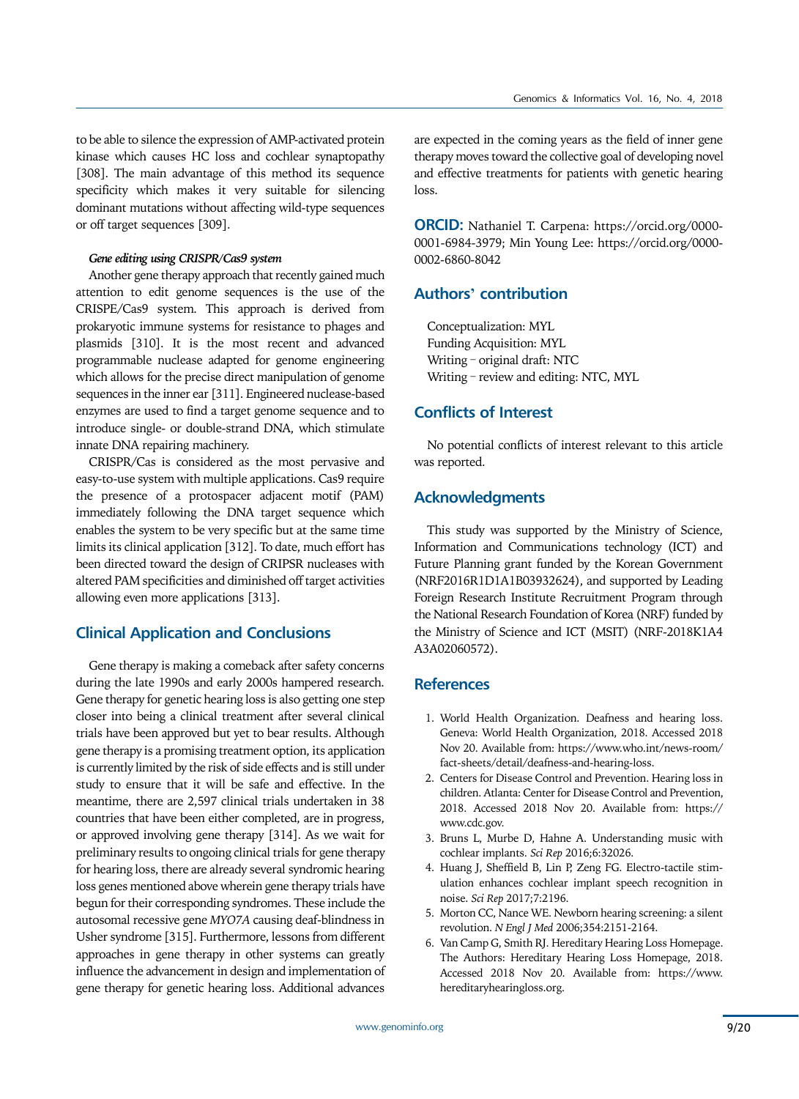to be able to silence the expression of AMP-activated protein kinase which causes HC loss and cochlear synaptopathy [308]. The main advantage of this method its sequence specificity which makes it very suitable for silencing dominant mutations without affecting wild-type sequences or off target sequences [309].

#### *Gene editing using CRISPR/Cas9 system*

Another gene therapy approach that recently gained much attention to edit genome sequences is the use of the CRISPE/Cas9 system. This approach is derived from prokaryotic immune systems for resistance to phages and plasmids [310]. It is the most recent and advanced programmable nuclease adapted for genome engineering which allows for the precise direct manipulation of genome sequences in the inner ear [311]. Engineered nuclease-based enzymes are used to find a target genome sequence and to introduce single- or double-strand DNA, which stimulate innate DNA repairing machinery.

CRISPR/Cas is considered as the most pervasive and easy-to-use system with multiple applications. Cas9 require the presence of a protospacer adjacent motif (PAM) immediately following the DNA target sequence which enables the system to be very specific but at the same time limits its clinical application [312]. To date, much effort has been directed toward the design of CRIPSR nucleases with altered PAM specificities and diminished off target activities allowing even more applications [313].

# **Clinical Application and Conclusions**

Gene therapy is making a comeback after safety concerns during the late 1990s and early 2000s hampered research. Gene therapy for genetic hearing loss is also getting one step closer into being a clinical treatment after several clinical trials have been approved but yet to bear results. Although gene therapy is a promising treatment option, its application is currently limited by the risk of side effects and is still under study to ensure that it will be safe and effective. In the meantime, there are 2,597 clinical trials undertaken in 38 countries that have been either completed, are in progress, or approved involving gene therapy [314]. As we wait for preliminary results to ongoing clinical trials for gene therapy for hearing loss, there are already several syndromic hearing loss genes mentioned above wherein gene therapy trials have begun for their corresponding syndromes. These include the autosomal recessive gene *MYO7A* causing deaf-blindness in Usher syndrome [315]. Furthermore, lessons from different approaches in gene therapy in other systems can greatly influence the advancement in design and implementation of gene therapy for genetic hearing loss. Additional advances

are expected in the coming years as the field of inner gene therapy moves toward the collective goal of developing novel and effective treatments for patients with genetic hearing loss.

**ORCID:** Nathaniel T. Carpena: https://orcid.org/0000- 0001-6984-3979; Min Young Lee: https://orcid.org/0000- 0002-6860-8042

## **Authors' contribution**

Conceptualization: MYL Funding Acquisition: MYL Writing – original draft: NTC Writing – review and editing: NTC, MYL

# **Conflicts of Interest**

No potential conflicts of interest relevant to this article was reported.

# **Acknowledgments**

This study was supported by the Ministry of Science, Information and Communications technology (ICT) and Future Planning grant funded by the Korean Government (NRF2016R1D1A1B03932624), and supported by Leading Foreign Research Institute Recruitment Program through the National Research Foundation of Korea (NRF) funded by the Ministry of Science and ICT (MSIT) (NRF-2018K1A4 A3A02060572).

## **References**

- 1. World Health Organization. Deafness and hearing loss. Geneva: World Health Organization, 2018. Accessed 2018 Nov 20. Available from: https://www.who.int/news-room/ fact-sheets/detail/deafness-and-hearing-loss.
- 2. Centers for Disease Control and Prevention. Hearing loss in children. Atlanta: Center for Disease Control and Prevention, 2018. Accessed 2018 Nov 20. Available from: https:// www.cdc.gov.
- 3. Bruns L, Murbe D, Hahne A. Understanding music with cochlear implants. *Sci Rep* 2016;6:32026.
- 4. Huang J, Sheffield B, Lin P, Zeng FG. Electro-tactile stimulation enhances cochlear implant speech recognition in noise. *Sci Rep* 2017;7:2196.
- 5. Morton CC, Nance WE. Newborn hearing screening: a silent revolution. *N Engl J Med* 2006;354:2151-2164.
- 6. Van Camp G, Smith RJ. Hereditary Hearing Loss Homepage. The Authors: Hereditary Hearing Loss Homepage, 2018. Accessed 2018 Nov 20. Available from: https://www. hereditaryhearingloss.org.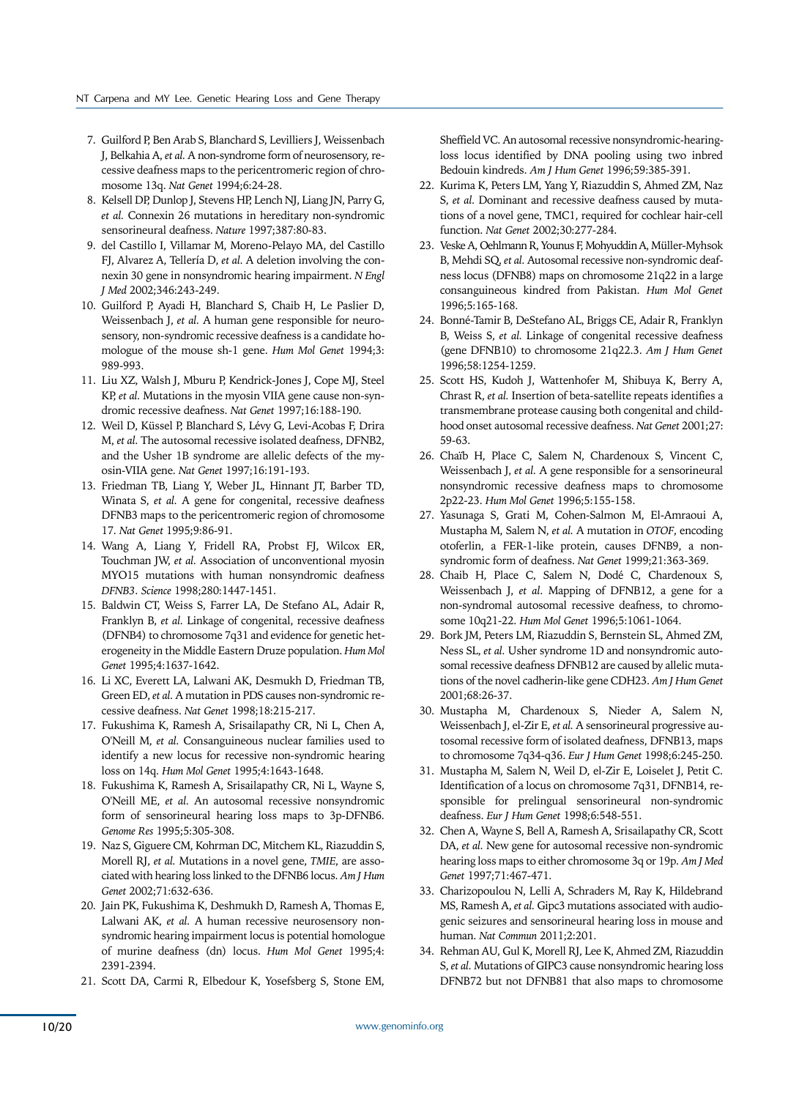- 7. Guilford P, Ben Arab S, Blanchard S, Levilliers J, Weissenbach J, Belkahia A, *et al.* A non-syndrome form of neurosensory, recessive deafness maps to the pericentromeric region of chromosome 13q. *Nat Genet* 1994;6:24-28.
- 8. Kelsell DP, Dunlop J, Stevens HP, Lench NJ, Liang JN, Parry G, *et al.* Connexin 26 mutations in hereditary non-syndromic sensorineural deafness. *Nature* 1997;387:80-83.
- 9. del Castillo I, Villamar M, Moreno-Pelayo MA, del Castillo FJ, Alvarez A, Tellería D, *et al.* A deletion involving the connexin 30 gene in nonsyndromic hearing impairment. *N Engl J Med* 2002;346:243-249.
- 10. Guilford P, Ayadi H, Blanchard S, Chaib H, Le Paslier D, Weissenbach J, *et al.* A human gene responsible for neurosensory, non-syndromic recessive deafness is a candidate homologue of the mouse sh-1 gene. *Hum Mol Genet* 1994;3: 989-993.
- 11. Liu XZ, Walsh J, Mburu P, Kendrick-Jones J, Cope MJ, Steel KP, *et al.* Mutations in the myosin VIIA gene cause non-syndromic recessive deafness. *Nat Genet* 1997;16:188-190.
- 12. Weil D, Küssel P, Blanchard S, Lévy G, Levi-Acobas F, Drira M, *et al.* The autosomal recessive isolated deafness, DFNB2, and the Usher 1B syndrome are allelic defects of the myosin-VIIA gene. *Nat Genet* 1997;16:191-193.
- 13. Friedman TB, Liang Y, Weber JL, Hinnant JT, Barber TD, Winata S, *et al.* A gene for congenital, recessive deafness DFNB3 maps to the pericentromeric region of chromosome 17. *Nat Genet* 1995;9:86-91.
- 14. Wang A, Liang Y, Fridell RA, Probst FJ, Wilcox ER, Touchman JW, *et al.* Association of unconventional myosin MYO15 mutations with human nonsyndromic deafness *DFNB3*. *Science* 1998;280:1447-1451.
- 15. Baldwin CT, Weiss S, Farrer LA, De Stefano AL, Adair R, Franklyn B, *et al.* Linkage of congenital, recessive deafness (DFNB4) to chromosome 7q31 and evidence for genetic heterogeneity in the Middle Eastern Druze population. *Hum Mol Genet* 1995;4:1637-1642.
- 16. Li XC, Everett LA, Lalwani AK, Desmukh D, Friedman TB, Green ED, *et al.* A mutation in PDS causes non-syndromic recessive deafness. *Nat Genet* 1998;18:215-217.
- 17. Fukushima K, Ramesh A, Srisailapathy CR, Ni L, Chen A, O'Neill M, *et al.* Consanguineous nuclear families used to identify a new locus for recessive non-syndromic hearing loss on 14q. *Hum Mol Genet* 1995;4:1643-1648.
- 18. Fukushima K, Ramesh A, Srisailapathy CR, Ni L, Wayne S, O'Neill ME, *et al.* An autosomal recessive nonsyndromic form of sensorineural hearing loss maps to 3p-DFNB6. *Genome Res* 1995;5:305-308.
- 19. Naz S, Giguere CM, Kohrman DC, Mitchem KL, Riazuddin S, Morell RJ, *et al.* Mutations in a novel gene, *TMIE*, are associated with hearing loss linked to the DFNB6 locus. *Am J Hum Genet* 2002;71:632-636.
- 20. Jain PK, Fukushima K, Deshmukh D, Ramesh A, Thomas E, Lalwani AK, *et al.* A human recessive neurosensory nonsyndromic hearing impairment locus is potential homologue of murine deafness (dn) locus. *Hum Mol Genet* 1995;4: 2391-2394.
- 21. Scott DA, Carmi R, Elbedour K, Yosefsberg S, Stone EM,

Sheffield VC. An autosomal recessive nonsyndromic-hearingloss locus identified by DNA pooling using two inbred Bedouin kindreds. *Am J Hum Genet* 1996;59:385-391.

- 22. Kurima K, Peters LM, Yang Y, Riazuddin S, Ahmed ZM, Naz S, *et al.* Dominant and recessive deafness caused by mutations of a novel gene, TMC1, required for cochlear hair-cell function. *Nat Genet* 2002;30:277-284.
- 23. Veske A, Oehlmann R, Younus F, Mohyuddin A, Müller-Myhsok B, Mehdi SQ, *et al.* Autosomal recessive non-syndromic deafness locus (DFNB8) maps on chromosome 21q22 in a large consanguineous kindred from Pakistan. *Hum Mol Genet*  1996;5:165-168.
- 24. Bonné-Tamir B, DeStefano AL, Briggs CE, Adair R, Franklyn B, Weiss S, *et al.* Linkage of congenital recessive deafness (gene DFNB10) to chromosome 21q22.3. *Am J Hum Genet* 1996;58:1254-1259.
- 25. Scott HS, Kudoh J, Wattenhofer M, Shibuya K, Berry A, Chrast R, *et al.* Insertion of beta-satellite repeats identifies a transmembrane protease causing both congenital and childhood onset autosomal recessive deafness. *Nat Genet* 2001;27: 59-63.
- 26. Chaïb H, Place C, Salem N, Chardenoux S, Vincent C, Weissenbach J, *et al.* A gene responsible for a sensorineural nonsyndromic recessive deafness maps to chromosome 2p22-23. *Hum Mol Genet* 1996;5:155-158.
- 27. Yasunaga S, Grati M, Cohen-Salmon M, El-Amraoui A, Mustapha M, Salem N, *et al.* A mutation in *OTOF*, encoding otoferlin, a FER-1-like protein, causes DFNB9, a nonsyndromic form of deafness. *Nat Genet* 1999;21:363-369.
- 28. Chaib H, Place C, Salem N, Dodé C, Chardenoux S, Weissenbach J, *et al*. Mapping of DFNB12, a gene for a non-syndromal autosomal recessive deafness, to chromosome 10q21-22. *Hum Mol Genet* 1996;5:1061-1064.
- 29. Bork JM, Peters LM, Riazuddin S, Bernstein SL, Ahmed ZM, Ness SL, *et al.* Usher syndrome 1D and nonsyndromic autosomal recessive deafness DFNB12 are caused by allelic mutations of the novel cadherin-like gene CDH23. *Am J Hum Genet* 2001;68:26-37.
- 30. Mustapha M, Chardenoux S, Nieder A, Salem N, Weissenbach J, el-Zir E, *et al.* A sensorineural progressive autosomal recessive form of isolated deafness, DFNB13, maps to chromosome 7q34-q36. *Eur J Hum Genet* 1998;6:245-250.
- 31. Mustapha M, Salem N, Weil D, el-Zir E, Loiselet J, Petit C. Identification of a locus on chromosome 7q31, DFNB14, responsible for prelingual sensorineural non-syndromic deafness. *Eur J Hum Genet* 1998;6:548-551.
- 32. Chen A, Wayne S, Bell A, Ramesh A, Srisailapathy CR, Scott DA, *et al.* New gene for autosomal recessive non-syndromic hearing loss maps to either chromosome 3q or 19p. *Am J Med Genet* 1997;71:467-471.
- 33. Charizopoulou N, Lelli A, Schraders M, Ray K, Hildebrand MS, Ramesh A, *et al.* Gipc3 mutations associated with audiogenic seizures and sensorineural hearing loss in mouse and human. *Nat Commun* 2011;2:201.
- 34. Rehman AU, Gul K, Morell RJ, Lee K, Ahmed ZM, Riazuddin S, *et al.* Mutations of GIPC3 cause nonsyndromic hearing loss DFNB72 but not DFNB81 that also maps to chromosome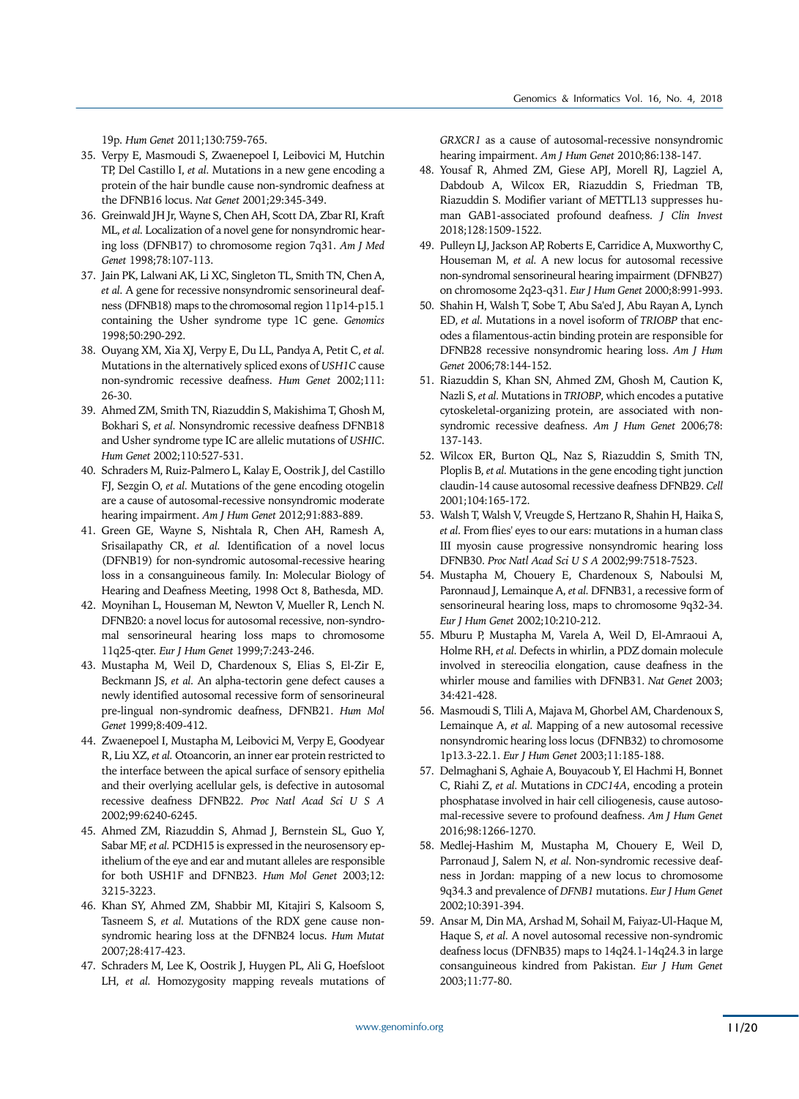19p. *Hum Genet* 2011;130:759-765.

- 35. Verpy E, Masmoudi S, Zwaenepoel I, Leibovici M, Hutchin TP, Del Castillo I, *et al.* Mutations in a new gene encoding a protein of the hair bundle cause non-syndromic deafness at the DFNB16 locus. *Nat Genet* 2001;29:345-349.
- 36. Greinwald JH Jr, Wayne S, Chen AH, Scott DA, Zbar RI, Kraft ML, *et al.* Localization of a novel gene for nonsyndromic hearing loss (DFNB17) to chromosome region 7q31. *Am J Med Genet* 1998;78:107-113.
- 37. Jain PK, Lalwani AK, Li XC, Singleton TL, Smith TN, Chen A, *et al.* A gene for recessive nonsyndromic sensorineural deafness (DFNB18) maps to the chromosomal region 11p14-p15.1 containing the Usher syndrome type 1C gene. *Genomics* 1998;50:290-292.
- 38. Ouyang XM, Xia XJ, Verpy E, Du LL, Pandya A, Petit C, *et al.* Mutations in the alternatively spliced exons of *USH1C* cause non-syndromic recessive deafness. *Hum Genet* 2002;111: 26-30.
- 39. Ahmed ZM, Smith TN, Riazuddin S, Makishima T, Ghosh M, Bokhari S, *et al.* Nonsyndromic recessive deafness DFNB18 and Usher syndrome type IC are allelic mutations of *USHIC*. *Hum Genet* 2002;110:527-531.
- 40. Schraders M, Ruiz-Palmero L, Kalay E, Oostrik J, del Castillo FJ, Sezgin O, *et al.* Mutations of the gene encoding otogelin are a cause of autosomal-recessive nonsyndromic moderate hearing impairment. *Am J Hum Genet* 2012;91:883-889.
- 41. Green GE, Wayne S, Nishtala R, Chen AH, Ramesh A, Srisailapathy CR, *et al.* Identification of a novel locus (DFNB19) for non-syndromic autosomal-recessive hearing loss in a consanguineous family. In: Molecular Biology of Hearing and Deafness Meeting, 1998 Oct 8, Bathesda, MD.
- 42. Moynihan L, Houseman M, Newton V, Mueller R, Lench N. DFNB20: a novel locus for autosomal recessive, non-syndromal sensorineural hearing loss maps to chromosome 11q25-qter. *Eur J Hum Genet* 1999;7:243-246.
- 43. Mustapha M, Weil D, Chardenoux S, Elias S, El-Zir E, Beckmann JS, *et al.* An alpha-tectorin gene defect causes a newly identified autosomal recessive form of sensorineural pre-lingual non-syndromic deafness, DFNB21. *Hum Mol Genet* 1999;8:409-412.
- 44. Zwaenepoel I, Mustapha M, Leibovici M, Verpy E, Goodyear R, Liu XZ, *et al.* Otoancorin, an inner ear protein restricted to the interface between the apical surface of sensory epithelia and their overlying acellular gels, is defective in autosomal recessive deafness DFNB22. *Proc Natl Acad Sci U S A*  2002;99:6240-6245.
- 45. Ahmed ZM, Riazuddin S, Ahmad J, Bernstein SL, Guo Y, Sabar MF, *et al.* PCDH15 is expressed in the neurosensory epithelium of the eye and ear and mutant alleles are responsible for both USH1F and DFNB23. *Hum Mol Genet* 2003;12: 3215-3223.
- 46. Khan SY, Ahmed ZM, Shabbir MI, Kitajiri S, Kalsoom S, Tasneem S, *et al.* Mutations of the RDX gene cause nonsyndromic hearing loss at the DFNB24 locus. *Hum Mutat* 2007;28:417-423.
- 47. Schraders M, Lee K, Oostrik J, Huygen PL, Ali G, Hoefsloot LH, *et al.* Homozygosity mapping reveals mutations of

*GRXCR1* as a cause of autosomal-recessive nonsyndromic hearing impairment. *Am J Hum Genet* 2010;86:138-147.

- 48. Yousaf R, Ahmed ZM, Giese APJ, Morell RJ, Lagziel A, Dabdoub A, Wilcox ER, Riazuddin S, Friedman TB, Riazuddin S. Modifier variant of METTL13 suppresses human GAB1-associated profound deafness. *J Clin Invest* 2018;128:1509-1522.
- 49. Pulleyn LJ, Jackson AP, Roberts E, Carridice A, Muxworthy C, Houseman M, *et al.* A new locus for autosomal recessive non-syndromal sensorineural hearing impairment (DFNB27) on chromosome 2q23-q31. *Eur J Hum Genet* 2000;8:991-993.
- 50. Shahin H, Walsh T, Sobe T, Abu Sa'ed J, Abu Rayan A, Lynch ED, *et al.* Mutations in a novel isoform of *TRIOBP* that encodes a filamentous-actin binding protein are responsible for DFNB28 recessive nonsyndromic hearing loss. *Am J Hum Genet* 2006;78:144-152.
- 51. Riazuddin S, Khan SN, Ahmed ZM, Ghosh M, Caution K, Nazli S, *et al.* Mutations in *TRIOBP*, which encodes a putative cytoskeletal-organizing protein, are associated with nonsyndromic recessive deafness. *Am J Hum Genet* 2006;78: 137-143.
- 52. Wilcox ER, Burton QL, Naz S, Riazuddin S, Smith TN, Ploplis B, *et al.* Mutations in the gene encoding tight junction claudin-14 cause autosomal recessive deafness DFNB29. *Cell* 2001;104:165-172.
- 53. Walsh T, Walsh V, Vreugde S, Hertzano R, Shahin H, Haika S, *et al.* From flies' eyes to our ears: mutations in a human class III myosin cause progressive nonsyndromic hearing loss DFNB30. *Proc Natl Acad Sci U S A* 2002;99:7518-7523.
- 54. Mustapha M, Chouery E, Chardenoux S, Naboulsi M, Paronnaud J, Lemainque A, *et al.* DFNB31, a recessive form of sensorineural hearing loss, maps to chromosome 9q32-34. *Eur J Hum Genet* 2002;10:210-212.
- 55. Mburu P, Mustapha M, Varela A, Weil D, El-Amraoui A, Holme RH, *et al.* Defects in whirlin, a PDZ domain molecule involved in stereocilia elongation, cause deafness in the whirler mouse and families with DFNB31. *Nat Genet* 2003; 34:421-428.
- 56. Masmoudi S, Tlili A, Majava M, Ghorbel AM, Chardenoux S, Lemainque A, *et al.* Mapping of a new autosomal recessive nonsyndromic hearing loss locus (DFNB32) to chromosome 1p13.3-22.1. *Eur J Hum Genet* 2003;11:185-188.
- 57. Delmaghani S, Aghaie A, Bouyacoub Y, El Hachmi H, Bonnet C, Riahi Z, *et al.* Mutations in *CDC14A*, encoding a protein phosphatase involved in hair cell ciliogenesis, cause autosomal-recessive severe to profound deafness. *Am J Hum Genet*  2016;98:1266-1270.
- 58. Medlej-Hashim M, Mustapha M, Chouery E, Weil D, Parronaud J, Salem N, *et al.* Non-syndromic recessive deafness in Jordan: mapping of a new locus to chromosome 9q34.3 and prevalence of *DFNB1* mutations. *Eur J Hum Genet* 2002;10:391-394.
- 59. Ansar M, Din MA, Arshad M, Sohail M, Faiyaz-Ul-Haque M, Haque S, *et al.* A novel autosomal recessive non-syndromic deafness locus (DFNB35) maps to 14q24.1-14q24.3 in large consanguineous kindred from Pakistan. *Eur J Hum Genet* 2003;11:77-80.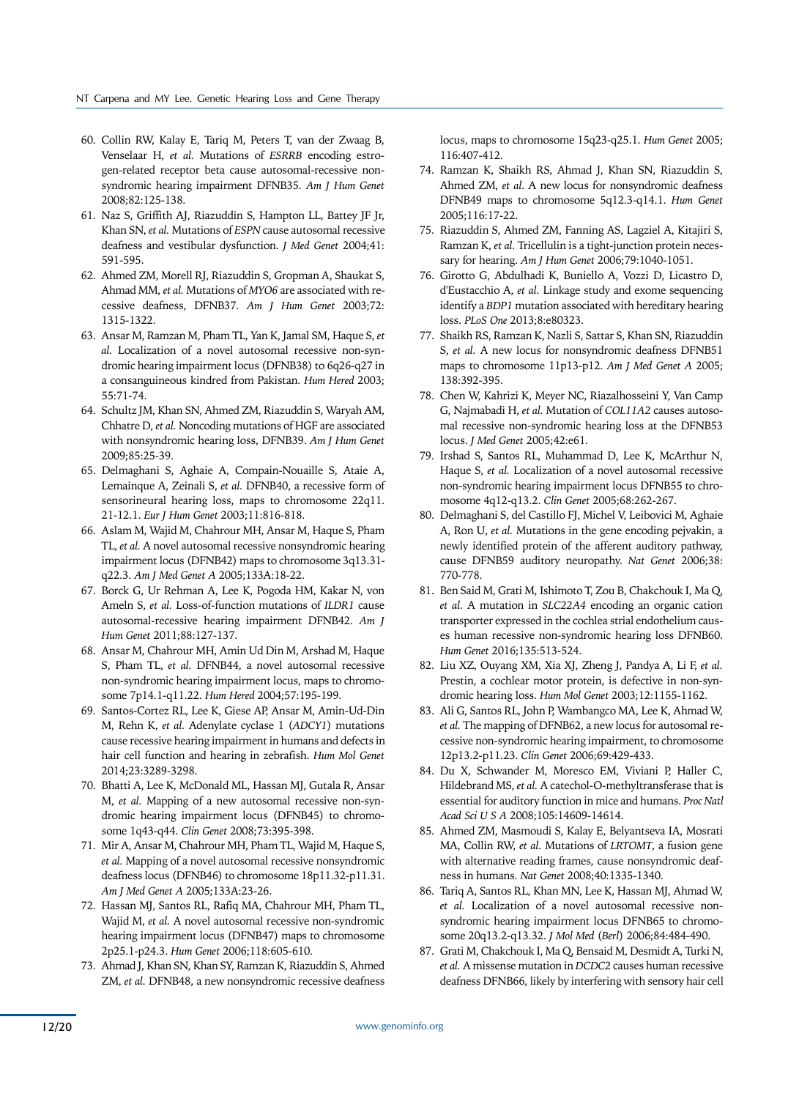- 60. Collin RW, Kalay E, Tariq M, Peters T, van der Zwaag B, Venselaar H, *et al.* Mutations of *ESRRB* encoding estrogen-related receptor beta cause autosomal-recessive nonsyndromic hearing impairment DFNB35. *Am J Hum Genet*  2008;82:125-138.
- 61. Naz S, Griffith AJ, Riazuddin S, Hampton LL, Battey JF Jr, Khan SN, *et al.* Mutations of *ESPN* cause autosomal recessive deafness and vestibular dysfunction. *J Med Genet* 2004;41: 591-595.
- 62. Ahmed ZM, Morell RJ, Riazuddin S, Gropman A, Shaukat S, Ahmad MM, *et al.* Mutations of *MYO6* are associated with recessive deafness, DFNB37. *Am J Hum Genet* 2003;72: 1315-1322.
- 63. Ansar M, Ramzan M, Pham TL, Yan K, Jamal SM, Haque S, *et al.* Localization of a novel autosomal recessive non-syndromic hearing impairment locus (DFNB38) to 6q26-q27 in a consanguineous kindred from Pakistan. *Hum Hered* 2003; 55:71-74.
- 64. Schultz JM, Khan SN, Ahmed ZM, Riazuddin S, Waryah AM, Chhatre D, *et al.* Noncoding mutations of HGF are associated with nonsyndromic hearing loss, DFNB39. *Am J Hum Genet*  2009;85:25-39.
- 65. Delmaghani S, Aghaie A, Compain-Nouaille S, Ataie A, Lemainque A, Zeinali S, *et al.* DFNB40, a recessive form of sensorineural hearing loss, maps to chromosome 22q11. 21-12.1. *Eur J Hum Genet* 2003;11:816-818.
- 66. Aslam M, Wajid M, Chahrour MH, Ansar M, Haque S, Pham TL, *et al.* A novel autosomal recessive nonsyndromic hearing impairment locus (DFNB42) maps to chromosome 3q13.31 q22.3. *Am J Med Genet A* 2005;133A:18-22.
- 67. Borck G, Ur Rehman A, Lee K, Pogoda HM, Kakar N, von Ameln S, *et al.* Loss-of-function mutations of *ILDR1* cause autosomal-recessive hearing impairment DFNB42. *Am J Hum Genet* 2011;88:127-137.
- 68. Ansar M, Chahrour MH, Amin Ud Din M, Arshad M, Haque S, Pham TL, *et al.* DFNB44, a novel autosomal recessive non-syndromic hearing impairment locus, maps to chromosome 7p14.1-q11.22. *Hum Hered* 2004;57:195-199.
- 69. Santos-Cortez RL, Lee K, Giese AP, Ansar M, Amin-Ud-Din M, Rehn K, *et al.* Adenylate cyclase 1 (*ADCY1*) mutations cause recessive hearing impairment in humans and defects in hair cell function and hearing in zebrafish. *Hum Mol Genet*  2014;23:3289-3298.
- 70. Bhatti A, Lee K, McDonald ML, Hassan MJ, Gutala R, Ansar M, *et al.* Mapping of a new autosomal recessive non-syndromic hearing impairment locus (DFNB45) to chromosome 1q43-q44. *Clin Genet* 2008;73:395-398.
- 71. Mir A, Ansar M, Chahrour MH, Pham TL, Wajid M, Haque S, *et al.* Mapping of a novel autosomal recessive nonsyndromic deafness locus (DFNB46) to chromosome 18p11.32-p11.31. *Am J Med Genet A* 2005;133A:23-26.
- 72. Hassan MJ, Santos RL, Rafiq MA, Chahrour MH, Pham TL, Wajid M, *et al.* A novel autosomal recessive non-syndromic hearing impairment locus (DFNB47) maps to chromosome 2p25.1-p24.3. *Hum Genet* 2006;118:605-610.
- 73. Ahmad J, Khan SN, Khan SY, Ramzan K, Riazuddin S, Ahmed ZM, *et al.* DFNB48, a new nonsyndromic recessive deafness

locus, maps to chromosome 15q23-q25.1. *Hum Genet* 2005; 116:407-412.

- 74. Ramzan K, Shaikh RS, Ahmad J, Khan SN, Riazuddin S, Ahmed ZM, *et al.* A new locus for nonsyndromic deafness DFNB49 maps to chromosome 5q12.3-q14.1. *Hum Genet*  2005;116:17-22.
- 75. Riazuddin S, Ahmed ZM, Fanning AS, Lagziel A, Kitajiri S, Ramzan K, *et al.* Tricellulin is a tight-junction protein necessary for hearing. *Am J Hum Genet* 2006;79:1040-1051.
- 76. Girotto G, Abdulhadi K, Buniello A, Vozzi D, Licastro D, d'Eustacchio A, *et al.* Linkage study and exome sequencing identify a *BDP1* mutation associated with hereditary hearing loss. *PLoS One* 2013;8:e80323.
- 77. Shaikh RS, Ramzan K, Nazli S, Sattar S, Khan SN, Riazuddin S, *et al.* A new locus for nonsyndromic deafness DFNB51 maps to chromosome 11p13-p12. *Am J Med Genet A* 2005; 138:392-395.
- 78. Chen W, Kahrizi K, Meyer NC, Riazalhosseini Y, Van Camp G, Najmabadi H, *et al.* Mutation of *COL11A2* causes autosomal recessive non-syndromic hearing loss at the DFNB53 locus. *J Med Genet* 2005;42:e61.
- 79. Irshad S, Santos RL, Muhammad D, Lee K, McArthur N, Haque S, *et al.* Localization of a novel autosomal recessive non-syndromic hearing impairment locus DFNB55 to chromosome 4q12-q13.2. *Clin Genet* 2005;68:262-267.
- 80. Delmaghani S, del Castillo FJ, Michel V, Leibovici M, Aghaie A, Ron U, *et al.* Mutations in the gene encoding pejvakin, a newly identified protein of the afferent auditory pathway, cause DFNB59 auditory neuropathy. *Nat Genet* 2006;38: 770-778.
- 81. Ben Said M, Grati M, Ishimoto T, Zou B, Chakchouk I, Ma Q, *et al.* A mutation in *SLC22A4* encoding an organic cation transporter expressed in the cochlea strial endothelium causes human recessive non-syndromic hearing loss DFNB60. *Hum Genet* 2016;135:513-524.
- 82. Liu XZ, Ouyang XM, Xia XJ, Zheng J, Pandya A, Li F, *et al.* Prestin, a cochlear motor protein, is defective in non-syndromic hearing loss. *Hum Mol Genet* 2003;12:1155-1162.
- 83. Ali G, Santos RL, John P, Wambangco MA, Lee K, Ahmad W, *et al.* The mapping of DFNB62, a new locus for autosomal recessive non-syndromic hearing impairment, to chromosome 12p13.2-p11.23. *Clin Genet* 2006;69:429-433.
- 84. Du X, Schwander M, Moresco EM, Viviani P, Haller C, Hildebrand MS, *et al.* A catechol-O-methyltransferase that is essential for auditory function in mice and humans. *Proc Natl Acad Sci U S A* 2008;105:14609-14614.
- 85. Ahmed ZM, Masmoudi S, Kalay E, Belyantseva IA, Mosrati MA, Collin RW, *et al.* Mutations of *LRTOMT*, a fusion gene with alternative reading frames, cause nonsyndromic deafness in humans. *Nat Genet* 2008;40:1335-1340.
- 86. Tariq A, Santos RL, Khan MN, Lee K, Hassan MJ, Ahmad W, *et al.* Localization of a novel autosomal recessive nonsyndromic hearing impairment locus DFNB65 to chromosome 20q13.2-q13.32. *J Mol Med* (*Berl*) 2006;84:484-490.
- 87. Grati M, Chakchouk I, Ma Q, Bensaid M, Desmidt A, Turki N, *et al.* A missense mutation in *DCDC2* causes human recessive deafness DFNB66, likely by interfering with sensory hair cell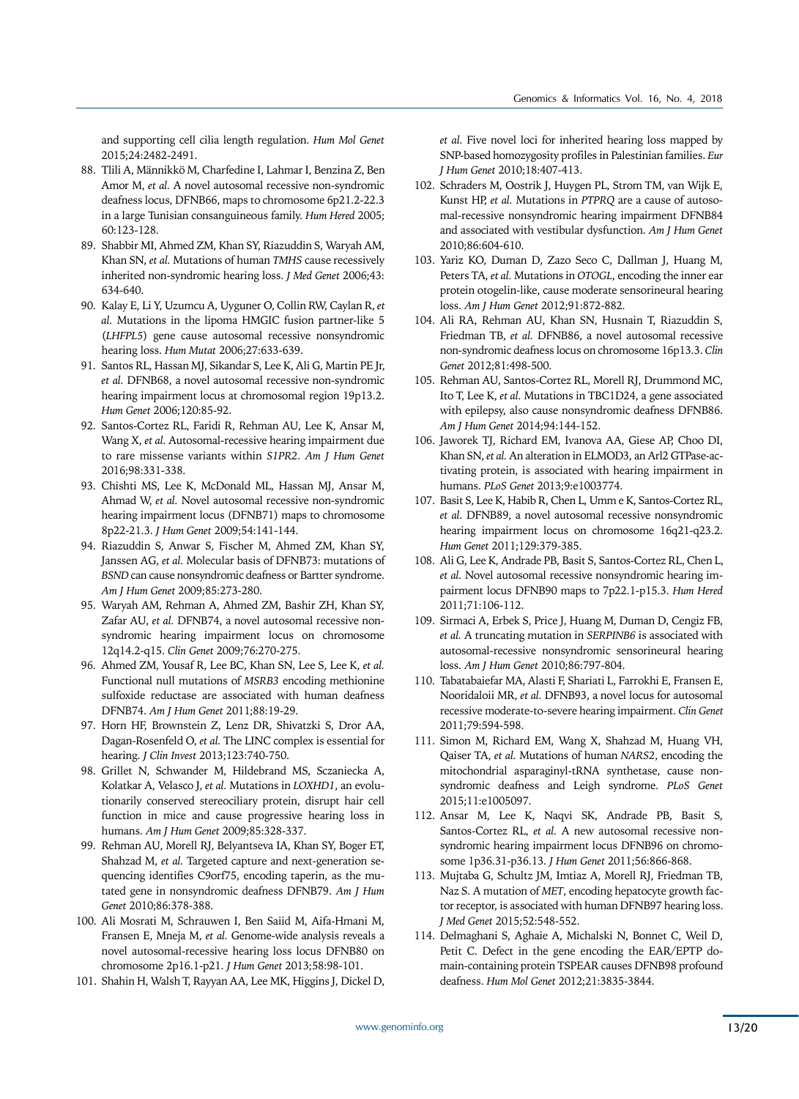and supporting cell cilia length regulation. *Hum Mol Genet* 2015;24:2482-2491.

- 88. Tlili A, Männikkö M, Charfedine I, Lahmar I, Benzina Z, Ben Amor M, *et al.* A novel autosomal recessive non-syndromic deafness locus, DFNB66, maps to chromosome 6p21.2-22.3 in a large Tunisian consanguineous family. *Hum Hered* 2005; 60:123-128.
- 89. Shabbir MI, Ahmed ZM, Khan SY, Riazuddin S, Waryah AM, Khan SN, *et al.* Mutations of human *TMHS* cause recessively inherited non-syndromic hearing loss. *J Med Genet* 2006;43: 634-640.
- 90. Kalay E, Li Y, Uzumcu A, Uyguner O, Collin RW, Caylan R, *et al.* Mutations in the lipoma HMGIC fusion partner-like 5 (*LHFPL5*) gene cause autosomal recessive nonsyndromic hearing loss. *Hum Mutat* 2006;27:633-639.
- 91. Santos RL, Hassan MJ, Sikandar S, Lee K, Ali G, Martin PE Jr, *et al.* DFNB68, a novel autosomal recessive non-syndromic hearing impairment locus at chromosomal region 19p13.2. *Hum Genet* 2006;120:85-92.
- 92. Santos-Cortez RL, Faridi R, Rehman AU, Lee K, Ansar M, Wang X, *et al.* Autosomal-recessive hearing impairment due to rare missense variants within *S1PR2*. *Am J Hum Genet* 2016;98:331-338.
- 93. Chishti MS, Lee K, McDonald ML, Hassan MJ, Ansar M, Ahmad W, *et al.* Novel autosomal recessive non-syndromic hearing impairment locus (DFNB71) maps to chromosome 8p22-21.3. *J Hum Genet* 2009;54:141-144.
- 94. Riazuddin S, Anwar S, Fischer M, Ahmed ZM, Khan SY, Janssen AG, *et al.* Molecular basis of DFNB73: mutations of *BSND* can cause nonsyndromic deafness or Bartter syndrome. *Am J Hum Genet* 2009;85:273-280.
- 95. Waryah AM, Rehman A, Ahmed ZM, Bashir ZH, Khan SY, Zafar AU, *et al.* DFNB74, a novel autosomal recessive nonsyndromic hearing impairment locus on chromosome 12q14.2-q15. *Clin Genet* 2009;76:270-275.
- 96. Ahmed ZM, Yousaf R, Lee BC, Khan SN, Lee S, Lee K, *et al.* Functional null mutations of *MSRB3* encoding methionine sulfoxide reductase are associated with human deafness DFNB74. *Am J Hum Genet* 2011;88:19-29.
- 97. Horn HF, Brownstein Z, Lenz DR, Shivatzki S, Dror AA, Dagan-Rosenfeld O, *et al.* The LINC complex is essential for hearing. *J Clin Invest* 2013;123:740-750.
- 98. Grillet N, Schwander M, Hildebrand MS, Sczaniecka A, Kolatkar A, Velasco J, *et al.* Mutations in *LOXHD1*, an evolutionarily conserved stereociliary protein, disrupt hair cell function in mice and cause progressive hearing loss in humans. *Am J Hum Genet* 2009;85:328-337.
- 99. Rehman AU, Morell RJ, Belyantseva IA, Khan SY, Boger ET, Shahzad M, *et al.* Targeted capture and next-generation sequencing identifies C9orf75, encoding taperin, as the mutated gene in nonsyndromic deafness DFNB79. *Am J Hum Genet* 2010;86:378-388.
- 100. Ali Mosrati M, Schrauwen I, Ben Saiid M, Aifa-Hmani M, Fransen E, Mneja M, *et al.* Genome-wide analysis reveals a novel autosomal-recessive hearing loss locus DFNB80 on chromosome 2p16.1-p21. *J Hum Genet* 2013;58:98-101.
- 101. Shahin H, Walsh T, Rayyan AA, Lee MK, Higgins J, Dickel D,

*et al.* Five novel loci for inherited hearing loss mapped by SNP-based homozygosity profiles in Palestinian families. *Eur J Hum Genet* 2010;18:407-413.

- 102. Schraders M, Oostrik J, Huygen PL, Strom TM, van Wijk E, Kunst HP, *et al.* Mutations in *PTPRQ* are a cause of autosomal-recessive nonsyndromic hearing impairment DFNB84 and associated with vestibular dysfunction. *Am J Hum Genet*  2010;86:604-610.
- 103. Yariz KO, Duman D, Zazo Seco C, Dallman J, Huang M, Peters TA, *et al.* Mutations in *OTOGL*, encoding the inner ear protein otogelin-like, cause moderate sensorineural hearing loss. *Am J Hum Genet* 2012;91:872-882.
- 104. Ali RA, Rehman AU, Khan SN, Husnain T, Riazuddin S, Friedman TB, *et al.* DFNB86, a novel autosomal recessive non-syndromic deafness locus on chromosome 16p13.3. *Clin Genet* 2012;81:498-500.
- 105. Rehman AU, Santos-Cortez RL, Morell RJ, Drummond MC, Ito T, Lee K, *et al.* Mutations in TBC1D24, a gene associated with epilepsy, also cause nonsyndromic deafness DFNB86. *Am J Hum Genet* 2014;94:144-152.
- 106. Jaworek TJ, Richard EM, Ivanova AA, Giese AP, Choo DI, Khan SN, *et al.* An alteration in ELMOD3, an Arl2 GTPase-activating protein, is associated with hearing impairment in humans. *PLoS Genet* 2013;9:e1003774.
- 107. Basit S, Lee K, Habib R, Chen L, Umm e K, Santos-Cortez RL, *et al.* DFNB89, a novel autosomal recessive nonsyndromic hearing impairment locus on chromosome 16q21-q23.2. *Hum Genet* 2011;129:379-385.
- 108. Ali G, Lee K, Andrade PB, Basit S, Santos-Cortez RL, Chen L, *et al.* Novel autosomal recessive nonsyndromic hearing impairment locus DFNB90 maps to 7p22.1-p15.3. *Hum Hered* 2011;71:106-112.
- 109. Sirmaci A, Erbek S, Price J, Huang M, Duman D, Cengiz FB, *et al.* A truncating mutation in *SERPINB6* is associated with autosomal-recessive nonsyndromic sensorineural hearing loss. *Am J Hum Genet* 2010;86:797-804.
- 110. Tabatabaiefar MA, Alasti F, Shariati L, Farrokhi E, Fransen E, Nooridaloii MR, *et al.* DFNB93, a novel locus for autosomal recessive moderate-to-severe hearing impairment. *Clin Genet* 2011;79:594-598.
- 111. Simon M, Richard EM, Wang X, Shahzad M, Huang VH, Qaiser TA, *et al.* Mutations of human *NARS2*, encoding the mitochondrial asparaginyl-tRNA synthetase, cause nonsyndromic deafness and Leigh syndrome. *PLoS Genet*  2015;11:e1005097.
- 112. Ansar M, Lee K, Naqvi SK, Andrade PB, Basit S, Santos-Cortez RL, *et al.* A new autosomal recessive nonsyndromic hearing impairment locus DFNB96 on chromosome 1p36.31-p36.13. *J Hum Genet* 2011;56:866-868.
- 113. Mujtaba G, Schultz JM, Imtiaz A, Morell RJ, Friedman TB, Naz S. A mutation of *MET*, encoding hepatocyte growth factor receptor, is associated with human DFNB97 hearing loss. *J Med Genet* 2015;52:548-552.
- 114. Delmaghani S, Aghaie A, Michalski N, Bonnet C, Weil D, Petit C. Defect in the gene encoding the EAR/EPTP domain-containing protein TSPEAR causes DFNB98 profound deafness. *Hum Mol Genet* 2012;21:3835-3844.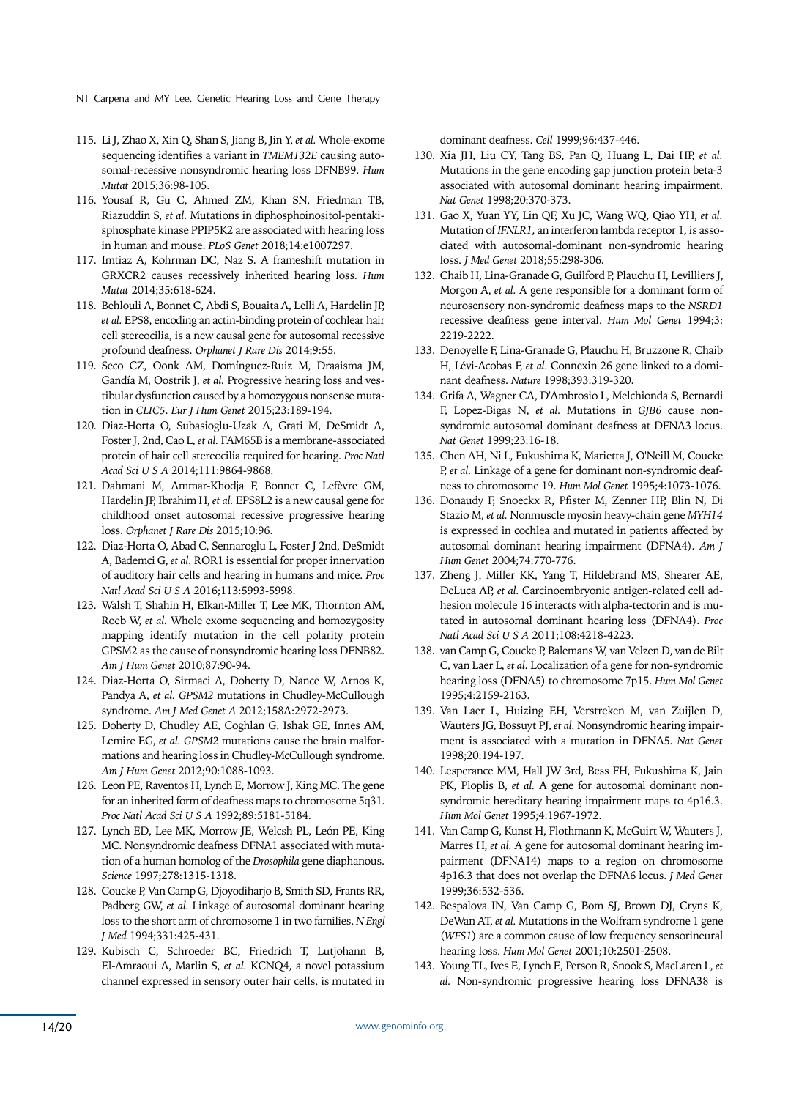- 115. Li J, Zhao X, Xin Q, Shan S, Jiang B, Jin Y, *et al.* Whole-exome sequencing identifies a variant in *TMEM132E* causing autosomal-recessive nonsyndromic hearing loss DFNB99. *Hum Mutat* 2015;36:98-105.
- 116. Yousaf R, Gu C, Ahmed ZM, Khan SN, Friedman TB, Riazuddin S, *et al.* Mutations in diphosphoinositol-pentakisphosphate kinase PPIP5K2 are associated with hearing loss in human and mouse. *PLoS Genet* 2018;14:e1007297.
- 117. Imtiaz A, Kohrman DC, Naz S. A frameshift mutation in GRXCR2 causes recessively inherited hearing loss. *Hum Mutat* 2014;35:618-624.
- 118. Behlouli A, Bonnet C, Abdi S, Bouaita A, Lelli A, Hardelin JP, *et al.* EPS8, encoding an actin-binding protein of cochlear hair cell stereocilia, is a new causal gene for autosomal recessive profound deafness. *Orphanet J Rare Dis* 2014;9:55.
- 119. Seco CZ, Oonk AM, Domínguez-Ruiz M, Draaisma JM, Gandía M, Oostrik J, *et al.* Progressive hearing loss and vestibular dysfunction caused by a homozygous nonsense mutation in *CLIC5*. *Eur J Hum Genet* 2015;23:189-194.
- 120. Diaz-Horta O, Subasioglu-Uzak A, Grati M, DeSmidt A, Foster J, 2nd, Cao L, *et al.* FAM65B is a membrane-associated protein of hair cell stereocilia required for hearing. *Proc Natl Acad Sci U S A* 2014;111:9864-9868.
- 121. Dahmani M, Ammar-Khodja F, Bonnet C, Lefèvre GM, Hardelin JP, Ibrahim H, *et al.* EPS8L2 is a new causal gene for childhood onset autosomal recessive progressive hearing loss. *Orphanet J Rare Dis* 2015;10:96.
- 122. Diaz-Horta O, Abad C, Sennaroglu L, Foster J 2nd, DeSmidt A, Bademci G, *et al.* ROR1 is essential for proper innervation of auditory hair cells and hearing in humans and mice. *Proc Natl Acad Sci U S A* 2016;113:5993-5998.
- 123. Walsh T, Shahin H, Elkan-Miller T, Lee MK, Thornton AM, Roeb W, *et al.* Whole exome sequencing and homozygosity mapping identify mutation in the cell polarity protein GPSM2 as the cause of nonsyndromic hearing loss DFNB82. *Am J Hum Genet* 2010;87:90-94.
- 124. Diaz-Horta O, Sirmaci A, Doherty D, Nance W, Arnos K, Pandya A, *et al. GPSM2* mutations in Chudley-McCullough syndrome. *Am J Med Genet A* 2012;158A:2972-2973.
- 125. Doherty D, Chudley AE, Coghlan G, Ishak GE, Innes AM, Lemire EG, *et al. GPSM2* mutations cause the brain malformations and hearing loss in Chudley-McCullough syndrome. *Am J Hum Genet* 2012;90:1088-1093.
- 126. Leon PE, Raventos H, Lynch E, Morrow J, King MC. The gene for an inherited form of deafness maps to chromosome 5q31. *Proc Natl Acad Sci U S A* 1992;89:5181-5184.
- 127. Lynch ED, Lee MK, Morrow JE, Welcsh PL, León PE, King MC. Nonsyndromic deafness DFNA1 associated with mutation of a human homolog of the *Drosophila* gene diaphanous. *Science* 1997;278:1315-1318.
- 128. Coucke P, Van Camp G, Djoyodiharjo B, Smith SD, Frants RR, Padberg GW, *et al.* Linkage of autosomal dominant hearing loss to the short arm of chromosome 1 in two families. *N Engl J Med* 1994;331:425-431.
- 129. Kubisch C, Schroeder BC, Friedrich T, Lutjohann B, El-Amraoui A, Marlin S, *et al.* KCNQ4, a novel potassium channel expressed in sensory outer hair cells, is mutated in

dominant deafness. *Cell* 1999;96:437-446.

- 130. Xia JH, Liu CY, Tang BS, Pan Q, Huang L, Dai HP, *et al.* Mutations in the gene encoding gap junction protein beta-3 associated with autosomal dominant hearing impairment. *Nat Genet* 1998;20:370-373.
- 131. Gao X, Yuan YY, Lin QF, Xu JC, Wang WQ, Qiao YH, *et al.* Mutation of *IFNLR1*, an interferon lambda receptor 1, is associated with autosomal-dominant non-syndromic hearing loss. *J Med Genet* 2018;55:298-306.
- 132. Chaib H, Lina-Granade G, Guilford P, Plauchu H, Levilliers J, Morgon A, *et al.* A gene responsible for a dominant form of neurosensory non-syndromic deafness maps to the *NSRD1*  recessive deafness gene interval. *Hum Mol Genet* 1994;3: 2219-2222.
- 133. Denoyelle F, Lina-Granade G, Plauchu H, Bruzzone R, Chaib H, Lévi-Acobas F, *et al.* Connexin 26 gene linked to a dominant deafness. *Nature* 1998;393:319-320.
- 134. Grifa A, Wagner CA, D'Ambrosio L, Melchionda S, Bernardi F, Lopez-Bigas N, *et al.* Mutations in *GJB6* cause nonsyndromic autosomal dominant deafness at DFNA3 locus. *Nat Genet* 1999;23:16-18.
- 135. Chen AH, Ni L, Fukushima K, Marietta J, O'Neill M, Coucke P, *et al.* Linkage of a gene for dominant non-syndromic deafness to chromosome 19. *Hum Mol Genet* 1995;4:1073-1076.
- 136. Donaudy F, Snoeckx R, Pfister M, Zenner HP, Blin N, Di Stazio M, *et al.* Nonmuscle myosin heavy-chain gene *MYH14*  is expressed in cochlea and mutated in patients affected by autosomal dominant hearing impairment (DFNA4). *Am J Hum Genet* 2004;74:770-776.
- 137. Zheng J, Miller KK, Yang T, Hildebrand MS, Shearer AE, DeLuca AP, *et al.* Carcinoembryonic antigen-related cell adhesion molecule 16 interacts with alpha-tectorin and is mutated in autosomal dominant hearing loss (DFNA4). *Proc Natl Acad Sci U S A* 2011;108:4218-4223.
- 138. van Camp G, Coucke P, Balemans W, van Velzen D, van de Bilt C, van Laer L, *et al.* Localization of a gene for non-syndromic hearing loss (DFNA5) to chromosome 7p15. *Hum Mol Genet* 1995;4:2159-2163.
- 139. Van Laer L, Huizing EH, Verstreken M, van Zuijlen D, Wauters JG, Bossuyt PJ, *et al.* Nonsyndromic hearing impairment is associated with a mutation in DFNA5. *Nat Genet*  1998;20:194-197.
- 140. Lesperance MM, Hall JW 3rd, Bess FH, Fukushima K, Jain PK, Ploplis B, *et al.* A gene for autosomal dominant nonsyndromic hereditary hearing impairment maps to 4p16.3. *Hum Mol Genet* 1995;4:1967-1972.
- 141. Van Camp G, Kunst H, Flothmann K, McGuirt W, Wauters J, Marres H, *et al.* A gene for autosomal dominant hearing impairment (DFNA14) maps to a region on chromosome 4p16.3 that does not overlap the DFNA6 locus. *J Med Genet*  1999;36:532-536.
- 142. Bespalova IN, Van Camp G, Bom SJ, Brown DJ, Cryns K, DeWan AT, *et al.* Mutations in the Wolfram syndrome 1 gene (*WFS1*) are a common cause of low frequency sensorineural hearing loss. *Hum Mol Genet* 2001;10:2501-2508.
- 143. Young TL, Ives E, Lynch E, Person R, Snook S, MacLaren L, *et al.* Non-syndromic progressive hearing loss DFNA38 is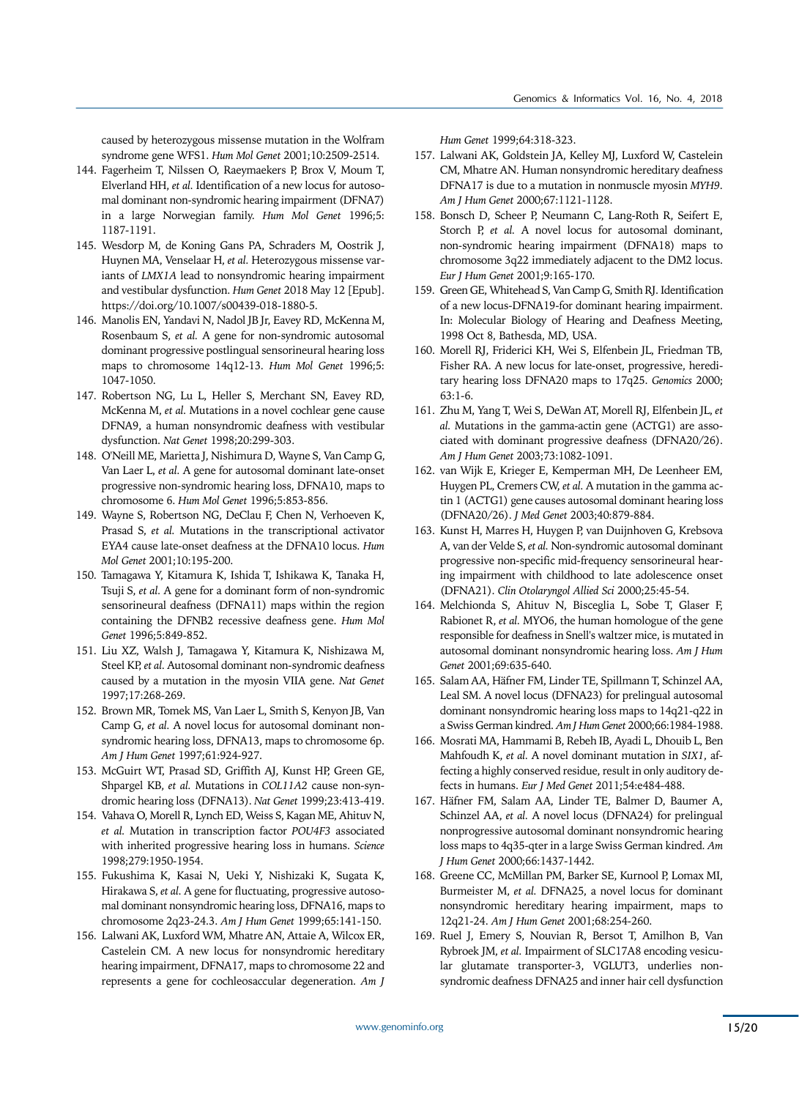caused by heterozygous missense mutation in the Wolfram syndrome gene WFS1. *Hum Mol Genet* 2001;10:2509-2514.

- 144. Fagerheim T, Nilssen O, Raeymaekers P, Brox V, Moum T, Elverland HH, *et al.* Identification of a new locus for autosomal dominant non-syndromic hearing impairment (DFNA7) in a large Norwegian family. *Hum Mol Genet* 1996;5: 1187-1191.
- 145. Wesdorp M, de Koning Gans PA, Schraders M, Oostrik J, Huynen MA, Venselaar H, *et al.* Heterozygous missense variants of *LMX1A* lead to nonsyndromic hearing impairment and vestibular dysfunction. *Hum Genet* 2018 May 12 [Epub]. https://doi.org/10.1007/s00439-018-1880-5.
- 146. Manolis EN, Yandavi N, Nadol JB Jr, Eavey RD, McKenna M, Rosenbaum S, *et al.* A gene for non-syndromic autosomal dominant progressive postlingual sensorineural hearing loss maps to chromosome 14q12-13. *Hum Mol Genet* 1996;5: 1047-1050.
- 147. Robertson NG, Lu L, Heller S, Merchant SN, Eavey RD, McKenna M, *et al.* Mutations in a novel cochlear gene cause DFNA9, a human nonsyndromic deafness with vestibular dysfunction. *Nat Genet* 1998;20:299-303.
- 148. O'Neill ME, Marietta J, Nishimura D, Wayne S, Van Camp G, Van Laer L, *et al.* A gene for autosomal dominant late-onset progressive non-syndromic hearing loss, DFNA10, maps to chromosome 6. *Hum Mol Genet* 1996;5:853-856.
- 149. Wayne S, Robertson NG, DeClau F, Chen N, Verhoeven K, Prasad S, *et al.* Mutations in the transcriptional activator EYA4 cause late-onset deafness at the DFNA10 locus. *Hum Mol Genet* 2001;10:195-200.
- 150. Tamagawa Y, Kitamura K, Ishida T, Ishikawa K, Tanaka H, Tsuji S, *et al.* A gene for a dominant form of non-syndromic sensorineural deafness (DFNA11) maps within the region containing the DFNB2 recessive deafness gene. *Hum Mol Genet* 1996;5:849-852.
- 151. Liu XZ, Walsh J, Tamagawa Y, Kitamura K, Nishizawa M, Steel KP, *et al.* Autosomal dominant non-syndromic deafness caused by a mutation in the myosin VIIA gene. *Nat Genet* 1997;17:268-269.
- 152. Brown MR, Tomek MS, Van Laer L, Smith S, Kenyon JB, Van Camp G, *et al.* A novel locus for autosomal dominant nonsyndromic hearing loss, DFNA13, maps to chromosome 6p. *Am J Hum Genet* 1997;61:924-927.
- 153. McGuirt WT, Prasad SD, Griffith AJ, Kunst HP, Green GE, Shpargel KB, *et al.* Mutations in *COL11A2* cause non-syndromic hearing loss (DFNA13). *Nat Genet* 1999;23:413-419.
- 154. Vahava O, Morell R, Lynch ED, Weiss S, Kagan ME, Ahituv N, *et al.* Mutation in transcription factor *POU4F3* associated with inherited progressive hearing loss in humans. *Science* 1998;279:1950-1954.
- 155. Fukushima K, Kasai N, Ueki Y, Nishizaki K, Sugata K, Hirakawa S, *et al.* A gene for fluctuating, progressive autosomal dominant nonsyndromic hearing loss, DFNA16, maps to chromosome 2q23-24.3. *Am J Hum Genet* 1999;65:141-150.
- 156. Lalwani AK, Luxford WM, Mhatre AN, Attaie A, Wilcox ER, Castelein CM. A new locus for nonsyndromic hereditary hearing impairment, DFNA17, maps to chromosome 22 and represents a gene for cochleosaccular degeneration. *Am J*

*Hum Genet* 1999;64:318-323.

- 157. Lalwani AK, Goldstein JA, Kelley MJ, Luxford W, Castelein CM, Mhatre AN. Human nonsyndromic hereditary deafness DFNA17 is due to a mutation in nonmuscle myosin *MYH9*. *Am J Hum Genet* 2000;67:1121-1128.
- 158. Bonsch D, Scheer P, Neumann C, Lang-Roth R, Seifert E, Storch P, *et al.* A novel locus for autosomal dominant, non-syndromic hearing impairment (DFNA18) maps to chromosome 3q22 immediately adjacent to the DM2 locus. *Eur J Hum Genet* 2001;9:165-170.
- 159. Green GE, Whitehead S, Van Camp G, Smith RJ. Identification of a new locus-DFNA19-for dominant hearing impairment. In: Molecular Biology of Hearing and Deafness Meeting, 1998 Oct 8, Bathesda, MD, USA.
- 160. Morell RJ, Friderici KH, Wei S, Elfenbein JL, Friedman TB, Fisher RA. A new locus for late-onset, progressive, hereditary hearing loss DFNA20 maps to 17q25. *Genomics* 2000; 63:1-6.
- 161. Zhu M, Yang T, Wei S, DeWan AT, Morell RJ, Elfenbein JL, *et al.* Mutations in the gamma-actin gene (ACTG1) are associated with dominant progressive deafness (DFNA20/26). *Am J Hum Genet* 2003;73:1082-1091.
- 162. van Wijk E, Krieger E, Kemperman MH, De Leenheer EM, Huygen PL, Cremers CW, *et al.* A mutation in the gamma actin 1 (ACTG1) gene causes autosomal dominant hearing loss (DFNA20/26). *J Med Genet* 2003;40:879-884.
- 163. Kunst H, Marres H, Huygen P, van Duijnhoven G, Krebsova A, van der Velde S, *et al.* Non-syndromic autosomal dominant progressive non-specific mid-frequency sensorineural hearing impairment with childhood to late adolescence onset (DFNA21). *Clin Otolaryngol Allied Sci* 2000;25:45-54.
- 164. Melchionda S, Ahituv N, Bisceglia L, Sobe T, Glaser F, Rabionet R, *et al.* MYO6, the human homologue of the gene responsible for deafness in Snell's waltzer mice, is mutated in autosomal dominant nonsyndromic hearing loss. *Am J Hum Genet* 2001;69:635-640.
- 165. Salam AA, Häfner FM, Linder TE, Spillmann T, Schinzel AA, Leal SM. A novel locus (DFNA23) for prelingual autosomal dominant nonsyndromic hearing loss maps to 14q21-q22 in a Swiss German kindred. *Am J Hum Genet* 2000;66:1984-1988.
- 166. Mosrati MA, Hammami B, Rebeh IB, Ayadi L, Dhouib L, Ben Mahfoudh K, *et al.* A novel dominant mutation in *SIX1*, affecting a highly conserved residue, result in only auditory defects in humans. *Eur J Med Genet* 2011;54:e484-488.
- 167. Häfner FM, Salam AA, Linder TE, Balmer D, Baumer A, Schinzel AA, *et al.* A novel locus (DFNA24) for prelingual nonprogressive autosomal dominant nonsyndromic hearing loss maps to 4q35-qter in a large Swiss German kindred. *Am J Hum Genet* 2000;66:1437-1442.
- 168. Greene CC, McMillan PM, Barker SE, Kurnool P, Lomax MI, Burmeister M, *et al.* DFNA25, a novel locus for dominant nonsyndromic hereditary hearing impairment, maps to 12q21-24. *Am J Hum Genet* 2001;68:254-260.
- 169. Ruel J, Emery S, Nouvian R, Bersot T, Amilhon B, Van Rybroek JM, *et al.* Impairment of SLC17A8 encoding vesicular glutamate transporter-3, VGLUT3, underlies nonsyndromic deafness DFNA25 and inner hair cell dysfunction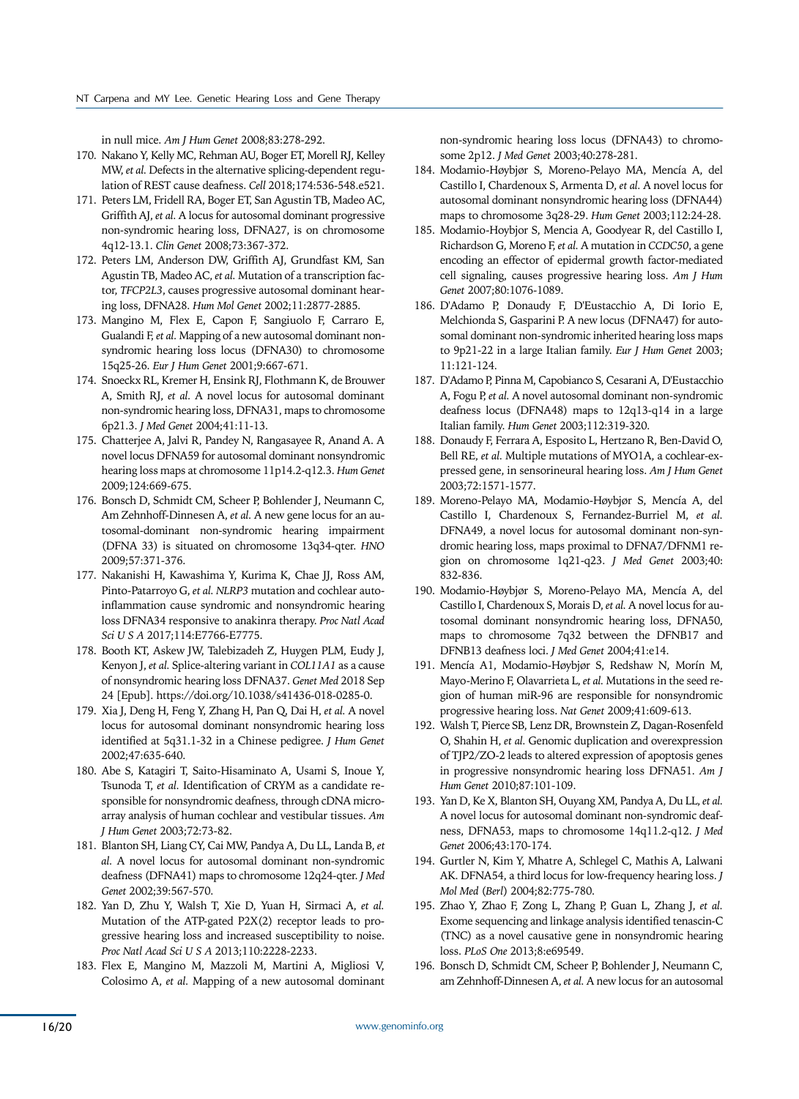in null mice. *Am J Hum Genet* 2008;83:278-292.

- 170. Nakano Y, Kelly MC, Rehman AU, Boger ET, Morell RJ, Kelley MW, *et al.* Defects in the alternative splicing-dependent regulation of REST cause deafness. *Cell* 2018;174:536-548.e521.
- 171. Peters LM, Fridell RA, Boger ET, San Agustin TB, Madeo AC, Griffith AJ, *et al.* A locus for autosomal dominant progressive non-syndromic hearing loss, DFNA27, is on chromosome 4q12-13.1. *Clin Genet* 2008;73:367-372.
- 172. Peters LM, Anderson DW, Griffith AJ, Grundfast KM, San Agustin TB, Madeo AC, *et al.* Mutation of a transcription factor, *TFCP2L3*, causes progressive autosomal dominant hearing loss, DFNA28. *Hum Mol Genet* 2002;11:2877-2885.
- 173. Mangino M, Flex E, Capon F, Sangiuolo F, Carraro E, Gualandi F, *et al.* Mapping of a new autosomal dominant nonsyndromic hearing loss locus (DFNA30) to chromosome 15q25-26. *Eur J Hum Genet* 2001;9:667-671.
- 174. Snoeckx RL, Kremer H, Ensink RJ, Flothmann K, de Brouwer A, Smith RJ, *et al.* A novel locus for autosomal dominant non-syndromic hearing loss, DFNA31, maps to chromosome 6p21.3. *J Med Genet* 2004;41:11-13.
- 175. Chatterjee A, Jalvi R, Pandey N, Rangasayee R, Anand A. A novel locus DFNA59 for autosomal dominant nonsyndromic hearing loss maps at chromosome 11p14.2-q12.3. *Hum Genet* 2009;124:669-675.
- 176. Bonsch D, Schmidt CM, Scheer P, Bohlender J, Neumann C, Am Zehnhoff-Dinnesen A, *et al.* A new gene locus for an autosomal-dominant non-syndromic hearing impairment (DFNA 33) is situated on chromosome 13q34-qter. *HNO* 2009;57:371-376.
- 177. Nakanishi H, Kawashima Y, Kurima K, Chae JJ, Ross AM, Pinto-Patarroyo G, *et al. NLRP3* mutation and cochlear autoinflammation cause syndromic and nonsyndromic hearing loss DFNA34 responsive to anakinra therapy. *Proc Natl Acad Sci U S A* 2017;114:E7766-E7775.
- 178. Booth KT, Askew JW, Talebizadeh Z, Huygen PLM, Eudy J, Kenyon J, *et al.* Splice-altering variant in *COL11A1* as a cause of nonsyndromic hearing loss DFNA37. *Genet Med* 2018 Sep 24 [Epub]. https://doi.org/10.1038/s41436-018-0285-0.
- 179. Xia J, Deng H, Feng Y, Zhang H, Pan Q, Dai H, *et al.* A novel locus for autosomal dominant nonsyndromic hearing loss identified at 5q31.1-32 in a Chinese pedigree. *J Hum Genet*  2002;47:635-640.
- 180. Abe S, Katagiri T, Saito-Hisaminato A, Usami S, Inoue Y, Tsunoda T, *et al.* Identification of CRYM as a candidate responsible for nonsyndromic deafness, through cDNA microarray analysis of human cochlear and vestibular tissues. *Am J Hum Genet* 2003;72:73-82.
- 181. Blanton SH, Liang CY, Cai MW, Pandya A, Du LL, Landa B, *et al.* A novel locus for autosomal dominant non-syndromic deafness (DFNA41) maps to chromosome 12q24-qter. *J Med Genet* 2002;39:567-570.
- 182. Yan D, Zhu Y, Walsh T, Xie D, Yuan H, Sirmaci A, *et al.* Mutation of the ATP-gated P2X(2) receptor leads to progressive hearing loss and increased susceptibility to noise. *Proc Natl Acad Sci U S A* 2013;110:2228-2233.
- 183. Flex E, Mangino M, Mazzoli M, Martini A, Migliosi V, Colosimo A, *et al.* Mapping of a new autosomal dominant

non-syndromic hearing loss locus (DFNA43) to chromosome 2p12. *J Med Genet* 2003;40:278-281.

- 184. Modamio-Høybjør S, Moreno-Pelayo MA, Mencía A, del Castillo I, Chardenoux S, Armenta D, *et al.* A novel locus for autosomal dominant nonsyndromic hearing loss (DFNA44) maps to chromosome 3q28-29. *Hum Genet* 2003;112:24-28.
- 185. Modamio-Hoybjor S, Mencia A, Goodyear R, del Castillo I, Richardson G, Moreno F, *et al.* A mutation in *CCDC50*, a gene encoding an effector of epidermal growth factor-mediated cell signaling, causes progressive hearing loss. *Am J Hum Genet* 2007;80:1076-1089.
- 186. D'Adamo P, Donaudy F, D'Eustacchio A, Di Iorio E, Melchionda S, Gasparini P. A new locus (DFNA47) for autosomal dominant non-syndromic inherited hearing loss maps to 9p21-22 in a large Italian family. *Eur J Hum Genet* 2003; 11:121-124.
- 187. D'Adamo P, Pinna M, Capobianco S, Cesarani A, D'Eustacchio A, Fogu P, *et al.* A novel autosomal dominant non-syndromic deafness locus (DFNA48) maps to 12q13-q14 in a large Italian family. *Hum Genet* 2003;112:319-320.
- 188. Donaudy F, Ferrara A, Esposito L, Hertzano R, Ben-David O, Bell RE, *et al.* Multiple mutations of MYO1A, a cochlear-expressed gene, in sensorineural hearing loss. *Am J Hum Genet*  2003;72:1571-1577.
- 189. Moreno-Pelayo MA, Modamio-Høybjør S, Mencía A, del Castillo I, Chardenoux S, Fernandez-Burriel M, *et al.* DFNA49, a novel locus for autosomal dominant non-syndromic hearing loss, maps proximal to DFNA7/DFNM1 region on chromosome 1q21-q23. *J Med Genet* 2003;40: 832-836.
- 190. Modamio-Høybjør S, Moreno-Pelayo MA, Mencía A, del Castillo I, Chardenoux S, Morais D, *et al.* A novel locus for autosomal dominant nonsyndromic hearing loss, DFNA50, maps to chromosome 7q32 between the DFNB17 and DFNB13 deafness loci. *J Med Genet* 2004;41:e14.
- 191. Mencía A1, Modamio-Høybjør S, Redshaw N, Morín M, Mayo-Merino F, Olavarrieta L, *et al.* Mutations in the seed region of human miR-96 are responsible for nonsyndromic progressive hearing loss. *Nat Genet* 2009;41:609-613.
- 192. Walsh T, Pierce SB, Lenz DR, Brownstein Z, Dagan-Rosenfeld O, Shahin H, *et al.* Genomic duplication and overexpression of TJP2/ZO-2 leads to altered expression of apoptosis genes in progressive nonsyndromic hearing loss DFNA51. *Am J Hum Genet* 2010;87:101-109.
- 193. Yan D, Ke X, Blanton SH, Ouyang XM, Pandya A, Du LL, *et al.* A novel locus for autosomal dominant non-syndromic deafness, DFNA53, maps to chromosome 14q11.2-q12. *J Med Genet* 2006;43:170-174.
- 194. Gurtler N, Kim Y, Mhatre A, Schlegel C, Mathis A, Lalwani AK. DFNA54, a third locus for low-frequency hearing loss. *J Mol Med* (*Berl*) 2004;82:775-780.
- 195. Zhao Y, Zhao F, Zong L, Zhang P, Guan L, Zhang J, *et al.* Exome sequencing and linkage analysis identified tenascin-C (TNC) as a novel causative gene in nonsyndromic hearing loss. *PLoS One* 2013;8:e69549.
- 196. Bonsch D, Schmidt CM, Scheer P, Bohlender J, Neumann C, am Zehnhoff-Dinnesen A, *et al.* A new locus for an autosomal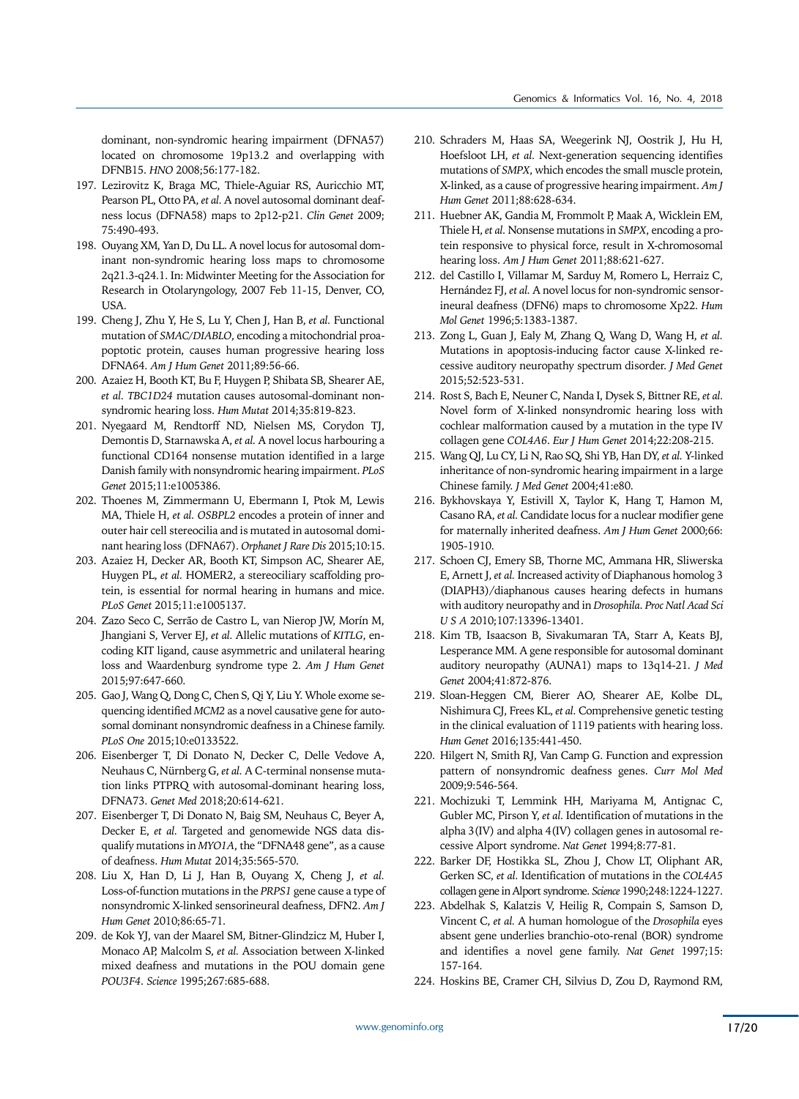dominant, non-syndromic hearing impairment (DFNA57) located on chromosome 19p13.2 and overlapping with DFNB15. *HNO* 2008;56:177-182.

- 197. Lezirovitz K, Braga MC, Thiele-Aguiar RS, Auricchio MT, Pearson PL, Otto PA, *et al.* A novel autosomal dominant deafness locus (DFNA58) maps to 2p12-p21. *Clin Genet* 2009; 75:490-493.
- 198. Ouyang XM, Yan D, Du LL. A novel locus for autosomal dominant non-syndromic hearing loss maps to chromosome 2q21.3-q24.1. In: Midwinter Meeting for the Association for Research in Otolaryngology, 2007 Feb 11-15, Denver, CO, USA.
- 199. Cheng J, Zhu Y, He S, Lu Y, Chen J, Han B, *et al.* Functional mutation of *SMAC/DIABLO*, encoding a mitochondrial proapoptotic protein, causes human progressive hearing loss DFNA64. *Am J Hum Genet* 2011;89:56-66.
- 200. Azaiez H, Booth KT, Bu F, Huygen P, Shibata SB, Shearer AE, *et al. TBC1D24* mutation causes autosomal-dominant nonsyndromic hearing loss. *Hum Mutat* 2014;35:819-823.
- 201. Nyegaard M, Rendtorff ND, Nielsen MS, Corydon TJ, Demontis D, Starnawska A, *et al.* A novel locus harbouring a functional CD164 nonsense mutation identified in a large Danish family with nonsyndromic hearing impairment. *PLoS Genet* 2015;11:e1005386.
- 202. Thoenes M, Zimmermann U, Ebermann I, Ptok M, Lewis MA, Thiele H, *et al. OSBPL2* encodes a protein of inner and outer hair cell stereocilia and is mutated in autosomal dominant hearing loss (DFNA67). *Orphanet J Rare Dis* 2015;10:15.
- 203. Azaiez H, Decker AR, Booth KT, Simpson AC, Shearer AE, Huygen PL, *et al.* HOMER2, a stereociliary scaffolding protein, is essential for normal hearing in humans and mice. *PLoS Genet* 2015;11:e1005137.
- 204. Zazo Seco C, Serrão de Castro L, van Nierop JW, Morín M, Jhangiani S, Verver EJ, *et al.* Allelic mutations of *KITLG*, encoding KIT ligand, cause asymmetric and unilateral hearing loss and Waardenburg syndrome type 2. *Am J Hum Genet* 2015;97:647-660.
- 205. Gao J, Wang Q, Dong C, Chen S, Qi Y, Liu Y. Whole exome sequencing identified *MCM2* as a novel causative gene for autosomal dominant nonsyndromic deafness in a Chinese family. *PLoS One* 2015;10:e0133522.
- 206. Eisenberger T, Di Donato N, Decker C, Delle Vedove A, Neuhaus C, Nürnberg G, *et al.* A C-terminal nonsense mutation links PTPRQ with autosomal-dominant hearing loss, DFNA73. *Genet Med* 2018;20:614-621.
- 207. Eisenberger T, Di Donato N, Baig SM, Neuhaus C, Beyer A, Decker E, *et al.* Targeted and genomewide NGS data disqualify mutations in *MYO1A*, the "DFNA48 gene", as a cause of deafness. *Hum Mutat* 2014;35:565-570.
- 208. Liu X, Han D, Li J, Han B, Ouyang X, Cheng J, *et al.* Loss-of-function mutations in the *PRPS1* gene cause a type of nonsyndromic X-linked sensorineural deafness, DFN2. *Am J Hum Genet* 2010;86:65-71.
- 209. de Kok YJ, van der Maarel SM, Bitner-Glindzicz M, Huber I, Monaco AP, Malcolm S, *et al.* Association between X-linked mixed deafness and mutations in the POU domain gene *POU3F4*. *Science* 1995;267:685-688.
- 210. Schraders M, Haas SA, Weegerink NJ, Oostrik J, Hu H, Hoefsloot LH, *et al.* Next-generation sequencing identifies mutations of *SMPX*, which encodes the small muscle protein, X-linked, as a cause of progressive hearing impairment. *Am J Hum Genet* 2011;88:628-634.
- 211. Huebner AK, Gandia M, Frommolt P, Maak A, Wicklein EM, Thiele H, *et al.* Nonsense mutations in *SMPX*, encoding a protein responsive to physical force, result in X-chromosomal hearing loss. *Am J Hum Genet* 2011;88:621-627.
- 212. del Castillo I, Villamar M, Sarduy M, Romero L, Herraiz C, Hernández FJ, *et al.* A novel locus for non-syndromic sensorineural deafness (DFN6) maps to chromosome Xp22. *Hum Mol Genet* 1996;5:1383-1387.
- 213. Zong L, Guan J, Ealy M, Zhang Q, Wang D, Wang H, *et al.* Mutations in apoptosis-inducing factor cause X-linked recessive auditory neuropathy spectrum disorder. *J Med Genet* 2015;52:523-531.
- 214. Rost S, Bach E, Neuner C, Nanda I, Dysek S, Bittner RE, *et al.* Novel form of X-linked nonsyndromic hearing loss with cochlear malformation caused by a mutation in the type IV collagen gene *COL4A6*. *Eur J Hum Genet* 2014;22:208-215.
- 215. Wang QJ, Lu CY, Li N, Rao SQ, Shi YB, Han DY, *et al.* Y-linked inheritance of non-syndromic hearing impairment in a large Chinese family. *J Med Genet* 2004;41:e80.
- 216. Bykhovskaya Y, Estivill X, Taylor K, Hang T, Hamon M, Casano RA, *et al.* Candidate locus for a nuclear modifier gene for maternally inherited deafness. *Am J Hum Genet* 2000;66: 1905-1910.
- 217. Schoen CJ, Emery SB, Thorne MC, Ammana HR, Sliwerska E, Arnett J, *et al.* Increased activity of Diaphanous homolog 3 (DIAPH3)/diaphanous causes hearing defects in humans with auditory neuropathy and in *Drosophila*. *Proc Natl Acad Sci U S A* 2010;107:13396-13401.
- 218. Kim TB, Isaacson B, Sivakumaran TA, Starr A, Keats BJ, Lesperance MM. A gene responsible for autosomal dominant auditory neuropathy (AUNA1) maps to 13q14-21. *J Med Genet* 2004;41:872-876.
- 219. Sloan-Heggen CM, Bierer AO, Shearer AE, Kolbe DL, Nishimura CJ, Frees KL, *et al.* Comprehensive genetic testing in the clinical evaluation of 1119 patients with hearing loss. *Hum Genet* 2016;135:441-450.
- 220. Hilgert N, Smith RJ, Van Camp G. Function and expression pattern of nonsyndromic deafness genes. *Curr Mol Med* 2009;9:546-564.
- 221. Mochizuki T, Lemmink HH, Mariyama M, Antignac C, Gubler MC, Pirson Y, *et al.* Identification of mutations in the alpha 3(IV) and alpha 4(IV) collagen genes in autosomal recessive Alport syndrome. *Nat Genet* 1994;8:77-81.
- 222. Barker DF, Hostikka SL, Zhou J, Chow LT, Oliphant AR, Gerken SC, *et al.* Identification of mutations in the *COL4A5*  collagen gene in Alport syndrome. *Science* 1990;248:1224-1227.
- 223. Abdelhak S, Kalatzis V, Heilig R, Compain S, Samson D, Vincent C, *et al.* A human homologue of the *Drosophila* eyes absent gene underlies branchio-oto-renal (BOR) syndrome and identifies a novel gene family. *Nat Genet* 1997;15: 157-164.
- 224. Hoskins BE, Cramer CH, Silvius D, Zou D, Raymond RM,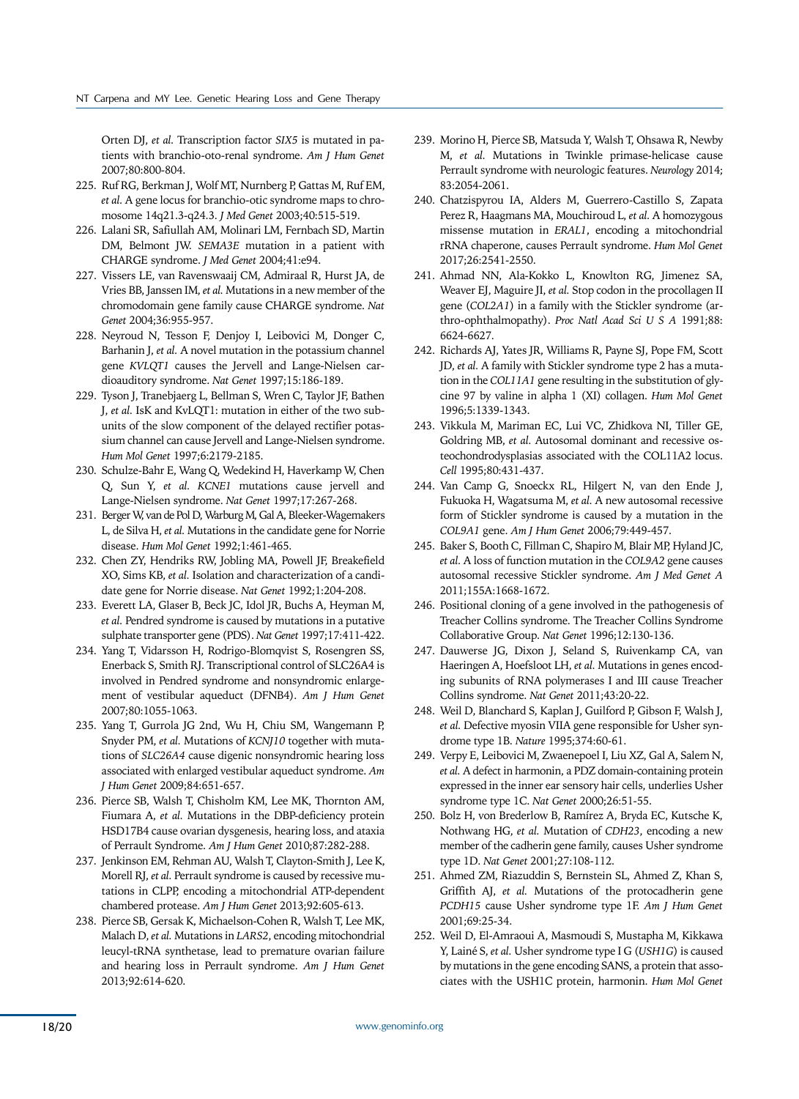Orten DJ, *et al.* Transcription factor *SIX5* is mutated in patients with branchio-oto-renal syndrome. *Am J Hum Genet* 2007;80:800-804.

- 225. Ruf RG, Berkman J, Wolf MT, Nurnberg P, Gattas M, Ruf EM, *et al.* A gene locus for branchio-otic syndrome maps to chromosome 14q21.3-q24.3. *J Med Genet* 2003;40:515-519.
- 226. Lalani SR, Safiullah AM, Molinari LM, Fernbach SD, Martin DM, Belmont JW. *SEMA3E* mutation in a patient with CHARGE syndrome. *J Med Genet* 2004;41:e94.
- 227. Vissers LE, van Ravenswaaij CM, Admiraal R, Hurst JA, de Vries BB, Janssen IM, *et al.* Mutations in a new member of the chromodomain gene family cause CHARGE syndrome. *Nat Genet* 2004;36:955-957.
- 228. Neyroud N, Tesson F, Denjoy I, Leibovici M, Donger C, Barhanin J, *et al.* A novel mutation in the potassium channel gene *KVLQT1* causes the Jervell and Lange-Nielsen cardioauditory syndrome. *Nat Genet* 1997;15:186-189.
- 229. Tyson J, Tranebjaerg L, Bellman S, Wren C, Taylor JF, Bathen J, *et al.* IsK and KvLQT1: mutation in either of the two subunits of the slow component of the delayed rectifier potassium channel can cause Jervell and Lange-Nielsen syndrome. *Hum Mol Genet* 1997;6:2179-2185.
- 230. Schulze-Bahr E, Wang Q, Wedekind H, Haverkamp W, Chen Q, Sun Y, *et al. KCNE1* mutations cause jervell and Lange-Nielsen syndrome. *Nat Genet* 1997;17:267-268.
- 231. Berger W, van de Pol D, Warburg M, Gal A, Bleeker-Wagemakers L, de Silva H, *et al.* Mutations in the candidate gene for Norrie disease. *Hum Mol Genet* 1992;1:461-465.
- 232. Chen ZY, Hendriks RW, Jobling MA, Powell JF, Breakefield XO, Sims KB, *et al.* Isolation and characterization of a candidate gene for Norrie disease. *Nat Genet* 1992;1:204-208.
- 233. Everett LA, Glaser B, Beck JC, Idol JR, Buchs A, Heyman M, *et al.* Pendred syndrome is caused by mutations in a putative sulphate transporter gene (PDS). *Nat Genet* 1997;17:411-422.
- 234. Yang T, Vidarsson H, Rodrigo-Blomqvist S, Rosengren SS, Enerback S, Smith RJ. Transcriptional control of SLC26A4 is involved in Pendred syndrome and nonsyndromic enlargement of vestibular aqueduct (DFNB4). *Am J Hum Genet*  2007;80:1055-1063.
- 235. Yang T, Gurrola JG 2nd, Wu H, Chiu SM, Wangemann P, Snyder PM, *et al.* Mutations of *KCNJ10* together with mutations of *SLC26A4* cause digenic nonsyndromic hearing loss associated with enlarged vestibular aqueduct syndrome. *Am J Hum Genet* 2009;84:651-657.
- 236. Pierce SB, Walsh T, Chisholm KM, Lee MK, Thornton AM, Fiumara A, *et al.* Mutations in the DBP-deficiency protein HSD17B4 cause ovarian dysgenesis, hearing loss, and ataxia of Perrault Syndrome. *Am J Hum Genet* 2010;87:282-288.
- 237. Jenkinson EM, Rehman AU, Walsh T, Clayton-Smith J, Lee K, Morell RJ, *et al.* Perrault syndrome is caused by recessive mutations in CLPP, encoding a mitochondrial ATP-dependent chambered protease. *Am J Hum Genet* 2013;92:605-613.
- 238. Pierce SB, Gersak K, Michaelson-Cohen R, Walsh T, Lee MK, Malach D, *et al.* Mutations in *LARS2*, encoding mitochondrial leucyl-tRNA synthetase, lead to premature ovarian failure and hearing loss in Perrault syndrome. *Am J Hum Genet*  2013;92:614-620.
- 239. Morino H, Pierce SB, Matsuda Y, Walsh T, Ohsawa R, Newby M, *et al.* Mutations in Twinkle primase-helicase cause Perrault syndrome with neurologic features. *Neurology* 2014; 83:2054-2061.
- 240. Chatzispyrou IA, Alders M, Guerrero-Castillo S, Zapata Perez R, Haagmans MA, Mouchiroud L, *et al.* A homozygous missense mutation in *ERAL1*, encoding a mitochondrial rRNA chaperone, causes Perrault syndrome. *Hum Mol Genet* 2017;26:2541-2550.
- 241. Ahmad NN, Ala-Kokko L, Knowlton RG, Jimenez SA, Weaver EJ, Maguire JI, *et al.* Stop codon in the procollagen II gene (*COL2A1*) in a family with the Stickler syndrome (arthro-ophthalmopathy). *Proc Natl Acad Sci U S A* 1991;88: 6624-6627.
- 242. Richards AJ, Yates JR, Williams R, Payne SJ, Pope FM, Scott JD, *et al.* A family with Stickler syndrome type 2 has a mutation in the *COL11A1* gene resulting in the substitution of glycine 97 by valine in alpha 1 (XI) collagen. *Hum Mol Genet* 1996;5:1339-1343.
- 243. Vikkula M, Mariman EC, Lui VC, Zhidkova NI, Tiller GE, Goldring MB, *et al.* Autosomal dominant and recessive osteochondrodysplasias associated with the COL11A2 locus. *Cell* 1995;80:431-437.
- 244. Van Camp G, Snoeckx RL, Hilgert N, van den Ende J, Fukuoka H, Wagatsuma M, *et al.* A new autosomal recessive form of Stickler syndrome is caused by a mutation in the *COL9A1* gene. *Am J Hum Genet* 2006;79:449-457.
- 245. Baker S, Booth C, Fillman C, Shapiro M, Blair MP, Hyland JC, *et al.* A loss of function mutation in the *COL9A2* gene causes autosomal recessive Stickler syndrome. *Am J Med Genet A*  2011;155A:1668-1672.
- 246. Positional cloning of a gene involved in the pathogenesis of Treacher Collins syndrome. The Treacher Collins Syndrome Collaborative Group. *Nat Genet* 1996;12:130-136.
- 247. Dauwerse JG, Dixon J, Seland S, Ruivenkamp CA, van Haeringen A, Hoefsloot LH, *et al.* Mutations in genes encoding subunits of RNA polymerases I and III cause Treacher Collins syndrome. *Nat Genet* 2011;43:20-22.
- 248. Weil D, Blanchard S, Kaplan J, Guilford P, Gibson F, Walsh J, *et al.* Defective myosin VIIA gene responsible for Usher syndrome type 1B. *Nature* 1995;374:60-61.
- 249. Verpy E, Leibovici M, Zwaenepoel I, Liu XZ, Gal A, Salem N, *et al.* A defect in harmonin, a PDZ domain-containing protein expressed in the inner ear sensory hair cells, underlies Usher syndrome type 1C. *Nat Genet* 2000;26:51-55.
- 250. Bolz H, von Brederlow B, Ramírez A, Bryda EC, Kutsche K, Nothwang HG, *et al.* Mutation of *CDH23*, encoding a new member of the cadherin gene family, causes Usher syndrome type 1D. *Nat Genet* 2001;27:108-112.
- 251. Ahmed ZM, Riazuddin S, Bernstein SL, Ahmed Z, Khan S, Griffith AJ, *et al.* Mutations of the protocadherin gene *PCDH15* cause Usher syndrome type 1F. *Am J Hum Genet* 2001;69:25-34.
- 252. Weil D, El-Amraoui A, Masmoudi S, Mustapha M, Kikkawa Y, Lainé S, *et al.* Usher syndrome type I G (*USH1G*) is caused by mutations in the gene encoding SANS, a protein that associates with the USH1C protein, harmonin. *Hum Mol Genet*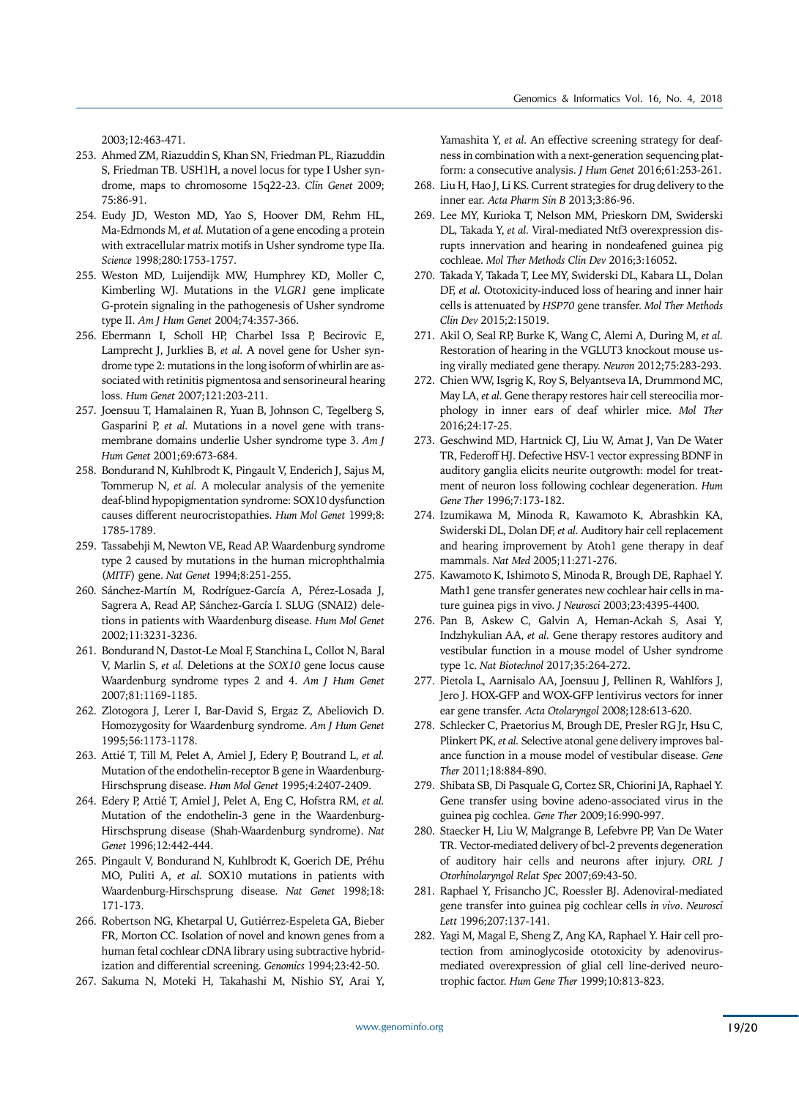2003;12:463-471.

- 253. Ahmed ZM, Riazuddin S, Khan SN, Friedman PL, Riazuddin S, Friedman TB. USH1H, a novel locus for type I Usher syndrome, maps to chromosome 15q22-23. *Clin Genet* 2009; 75:86-91.
- 254. Eudy JD, Weston MD, Yao S, Hoover DM, Rehm HL, Ma-Edmonds M, *et al.* Mutation of a gene encoding a protein with extracellular matrix motifs in Usher syndrome type IIa. *Science* 1998;280:1753-1757.
- 255. Weston MD, Luijendijk MW, Humphrey KD, Moller C, Kimberling WJ. Mutations in the *VLGR1* gene implicate G-protein signaling in the pathogenesis of Usher syndrome type II. *Am J Hum Genet* 2004;74:357-366.
- 256. Ebermann I, Scholl HP, Charbel Issa P, Becirovic E, Lamprecht J, Jurklies B, *et al.* A novel gene for Usher syndrome type 2: mutations in the long isoform of whirlin are associated with retinitis pigmentosa and sensorineural hearing loss. *Hum Genet* 2007;121:203-211.
- 257. Joensuu T, Hamalainen R, Yuan B, Johnson C, Tegelberg S, Gasparini P, *et al.* Mutations in a novel gene with transmembrane domains underlie Usher syndrome type 3. *Am J Hum Genet* 2001;69:673-684.
- 258. Bondurand N, Kuhlbrodt K, Pingault V, Enderich J, Sajus M, Tommerup N, *et al.* A molecular analysis of the yemenite deaf-blind hypopigmentation syndrome: SOX10 dysfunction causes different neurocristopathies. *Hum Mol Genet* 1999;8: 1785-1789.
- 259. Tassabehji M, Newton VE, Read AP. Waardenburg syndrome type 2 caused by mutations in the human microphthalmia (*MITF*) gene. *Nat Genet* 1994;8:251-255.
- 260. Sánchez-Martín M, Rodríguez-García A, Pérez-Losada J, Sagrera A, Read AP, Sánchez-García I. SLUG (SNAI2) deletions in patients with Waardenburg disease. *Hum Mol Genet* 2002;11:3231-3236.
- 261. Bondurand N, Dastot-Le Moal F, Stanchina L, Collot N, Baral V, Marlin S, *et al.* Deletions at the *SOX10* gene locus cause Waardenburg syndrome types 2 and 4. *Am J Hum Genet* 2007;81:1169-1185.
- 262. Zlotogora J, Lerer I, Bar-David S, Ergaz Z, Abeliovich D. Homozygosity for Waardenburg syndrome. *Am J Hum Genet* 1995;56:1173-1178.
- 263. Attié T, Till M, Pelet A, Amiel J, Edery P, Boutrand L, *et al.* Mutation of the endothelin-receptor B gene in Waardenburg-Hirschsprung disease. *Hum Mol Genet* 1995;4:2407-2409.
- 264. Edery P, Attié T, Amiel J, Pelet A, Eng C, Hofstra RM, *et al.* Mutation of the endothelin-3 gene in the Waardenburg-Hirschsprung disease (Shah-Waardenburg syndrome). *Nat Genet* 1996;12:442-444.
- 265. Pingault V, Bondurand N, Kuhlbrodt K, Goerich DE, Préhu MO, Puliti A, *et al.* SOX10 mutations in patients with Waardenburg-Hirschsprung disease. *Nat Genet* 1998;18: 171-173.
- 266. Robertson NG, Khetarpal U, Gutiérrez-Espeleta GA, Bieber FR, Morton CC. Isolation of novel and known genes from a human fetal cochlear cDNA library using subtractive hybridization and differential screening. *Genomics* 1994;23:42-50.
- 267. Sakuma N, Moteki H, Takahashi M, Nishio SY, Arai Y,

Yamashita Y, *et al.* An effective screening strategy for deafness in combination with a next-generation sequencing platform: a consecutive analysis. *J Hum Genet* 2016;61:253-261.

- 268. Liu H, Hao J, Li KS. Current strategies for drug delivery to the inner ear. *Acta Pharm Sin B* 2013;3:86-96.
- 269. Lee MY, Kurioka T, Nelson MM, Prieskorn DM, Swiderski DL, Takada Y, *et al.* Viral-mediated Ntf3 overexpression disrupts innervation and hearing in nondeafened guinea pig cochleae. *Mol Ther Methods Clin Dev* 2016;3:16052.
- 270. Takada Y, Takada T, Lee MY, Swiderski DL, Kabara LL, Dolan DF, *et al.* Ototoxicity-induced loss of hearing and inner hair cells is attenuated by *HSP70* gene transfer. *Mol Ther Methods Clin Dev* 2015;2:15019.
- 271. Akil O, Seal RP, Burke K, Wang C, Alemi A, During M, *et al.* Restoration of hearing in the VGLUT3 knockout mouse using virally mediated gene therapy. *Neuron* 2012;75:283-293.
- 272. Chien WW, Isgrig K, Roy S, Belyantseva IA, Drummond MC, May LA, *et al.* Gene therapy restores hair cell stereocilia morphology in inner ears of deaf whirler mice. *Mol Ther*  2016;24:17-25.
- 273. Geschwind MD, Hartnick CJ, Liu W, Amat J, Van De Water TR, Federoff HJ. Defective HSV-1 vector expressing BDNF in auditory ganglia elicits neurite outgrowth: model for treatment of neuron loss following cochlear degeneration. *Hum Gene Ther* 1996;7:173-182.
- 274. Izumikawa M, Minoda R, Kawamoto K, Abrashkin KA, Swiderski DL, Dolan DF, *et al.* Auditory hair cell replacement and hearing improvement by Atoh1 gene therapy in deaf mammals. *Nat Med* 2005;11:271-276.
- 275. Kawamoto K, Ishimoto S, Minoda R, Brough DE, Raphael Y. Math1 gene transfer generates new cochlear hair cells in mature guinea pigs in vivo. *J Neurosci* 2003;23:4395-4400.
- 276. Pan B, Askew C, Galvin A, Heman-Ackah S, Asai Y, Indzhykulian AA, *et al.* Gene therapy restores auditory and vestibular function in a mouse model of Usher syndrome type 1c. *Nat Biotechnol* 2017;35:264-272.
- 277. Pietola L, Aarnisalo AA, Joensuu J, Pellinen R, Wahlfors J, Jero J. HOX-GFP and WOX-GFP lentivirus vectors for inner ear gene transfer. *Acta Otolaryngol* 2008;128:613-620.
- 278. Schlecker C, Praetorius M, Brough DE, Presler RG Jr, Hsu C, Plinkert PK, *et al.* Selective atonal gene delivery improves balance function in a mouse model of vestibular disease. *Gene Ther* 2011;18:884-890.
- 279. Shibata SB, Di Pasquale G, Cortez SR, Chiorini JA, Raphael Y. Gene transfer using bovine adeno-associated virus in the guinea pig cochlea. *Gene Ther* 2009;16:990-997.
- 280. Staecker H, Liu W, Malgrange B, Lefebvre PP, Van De Water TR. Vector-mediated delivery of bcl-2 prevents degeneration of auditory hair cells and neurons after injury. *ORL J Otorhinolaryngol Relat Spec* 2007;69:43-50.
- 281. Raphael Y, Frisancho JC, Roessler BJ. Adenoviral-mediated gene transfer into guinea pig cochlear cells *in vivo*. *Neurosci Lett* 1996;207:137-141.
- 282. Yagi M, Magal E, Sheng Z, Ang KA, Raphael Y. Hair cell protection from aminoglycoside ototoxicity by adenovirusmediated overexpression of glial cell line-derived neurotrophic factor. *Hum Gene Ther* 1999;10:813-823.